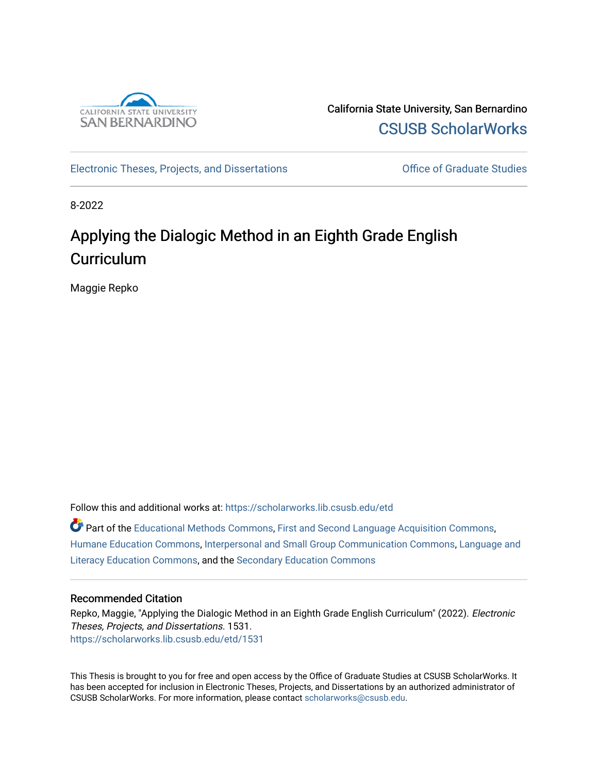

California State University, San Bernardino [CSUSB ScholarWorks](https://scholarworks.lib.csusb.edu/) 

[Electronic Theses, Projects, and Dissertations](https://scholarworks.lib.csusb.edu/etd) **Electronic Studies** Office of Graduate Studies

8-2022

# Applying the Dialogic Method in an Eighth Grade English **Curriculum**

Maggie Repko

Follow this and additional works at: [https://scholarworks.lib.csusb.edu/etd](https://scholarworks.lib.csusb.edu/etd?utm_source=scholarworks.lib.csusb.edu%2Fetd%2F1531&utm_medium=PDF&utm_campaign=PDFCoverPages) 

 $\bullet$  Part of the [Educational Methods Commons,](https://network.bepress.com/hgg/discipline/1227?utm_source=scholarworks.lib.csusb.edu%2Fetd%2F1531&utm_medium=PDF&utm_campaign=PDFCoverPages) [First and Second Language Acquisition Commons](https://network.bepress.com/hgg/discipline/377?utm_source=scholarworks.lib.csusb.edu%2Fetd%2F1531&utm_medium=PDF&utm_campaign=PDFCoverPages), [Humane Education Commons](https://network.bepress.com/hgg/discipline/1295?utm_source=scholarworks.lib.csusb.edu%2Fetd%2F1531&utm_medium=PDF&utm_campaign=PDFCoverPages), [Interpersonal and Small Group Communication Commons](https://network.bepress.com/hgg/discipline/332?utm_source=scholarworks.lib.csusb.edu%2Fetd%2F1531&utm_medium=PDF&utm_campaign=PDFCoverPages), [Language and](https://network.bepress.com/hgg/discipline/1380?utm_source=scholarworks.lib.csusb.edu%2Fetd%2F1531&utm_medium=PDF&utm_campaign=PDFCoverPages) [Literacy Education Commons](https://network.bepress.com/hgg/discipline/1380?utm_source=scholarworks.lib.csusb.edu%2Fetd%2F1531&utm_medium=PDF&utm_campaign=PDFCoverPages), and the [Secondary Education Commons](https://network.bepress.com/hgg/discipline/1382?utm_source=scholarworks.lib.csusb.edu%2Fetd%2F1531&utm_medium=PDF&utm_campaign=PDFCoverPages) 

# Recommended Citation

Repko, Maggie, "Applying the Dialogic Method in an Eighth Grade English Curriculum" (2022). Electronic Theses, Projects, and Dissertations. 1531. [https://scholarworks.lib.csusb.edu/etd/1531](https://scholarworks.lib.csusb.edu/etd/1531?utm_source=scholarworks.lib.csusb.edu%2Fetd%2F1531&utm_medium=PDF&utm_campaign=PDFCoverPages) 

This Thesis is brought to you for free and open access by the Office of Graduate Studies at CSUSB ScholarWorks. It has been accepted for inclusion in Electronic Theses, Projects, and Dissertations by an authorized administrator of CSUSB ScholarWorks. For more information, please contact [scholarworks@csusb.edu](mailto:scholarworks@csusb.edu).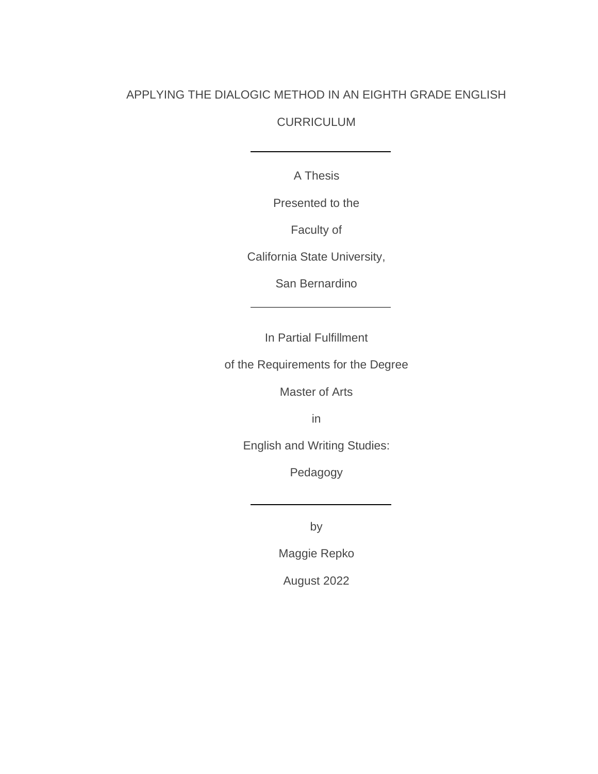# APPLYING THE DIALOGIC METHOD IN AN EIGHTH GRADE ENGLISH

# CURRICULUM

A Thesis

Presented to the

Faculty of

California State University,

San Bernardino

In Partial Fulfillment

of the Requirements for the Degree

Master of Arts

in

English and Writing Studies:

Pedagogy

by

Maggie Repko

August 2022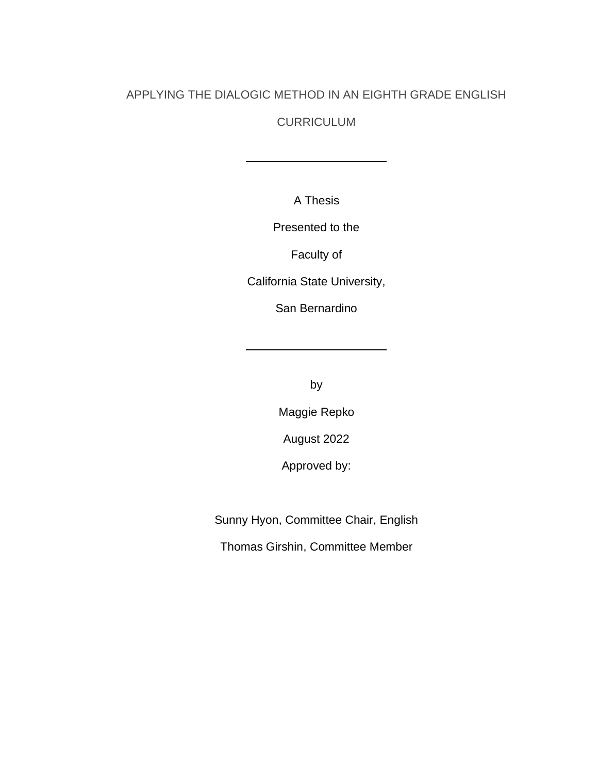# APPLYING THE DIALOGIC METHOD IN AN EIGHTH GRADE ENGLISH

# CURRICULUM

A Thesis

Presented to the

Faculty of

California State University,

San Bernardino

by

Maggie Repko

August 2022

Approved by:

Sunny Hyon, Committee Chair, English

Thomas Girshin, Committee Member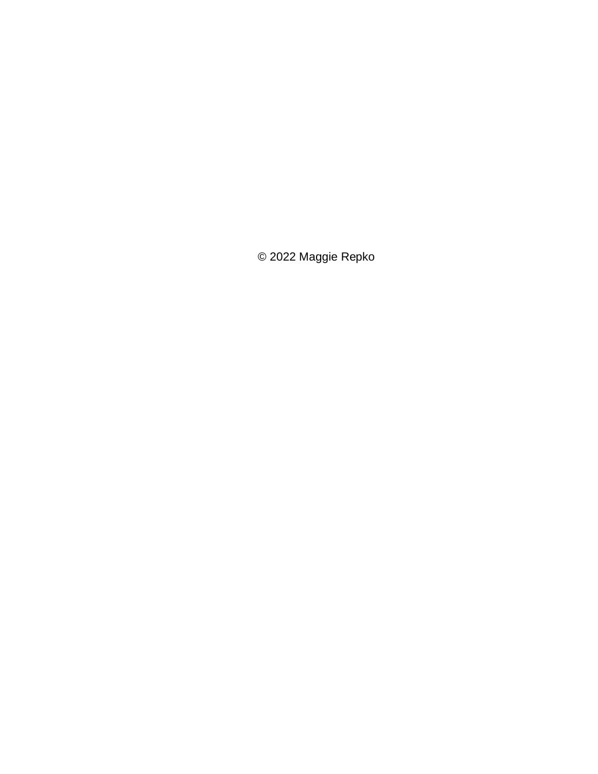© 2022 Maggie Repko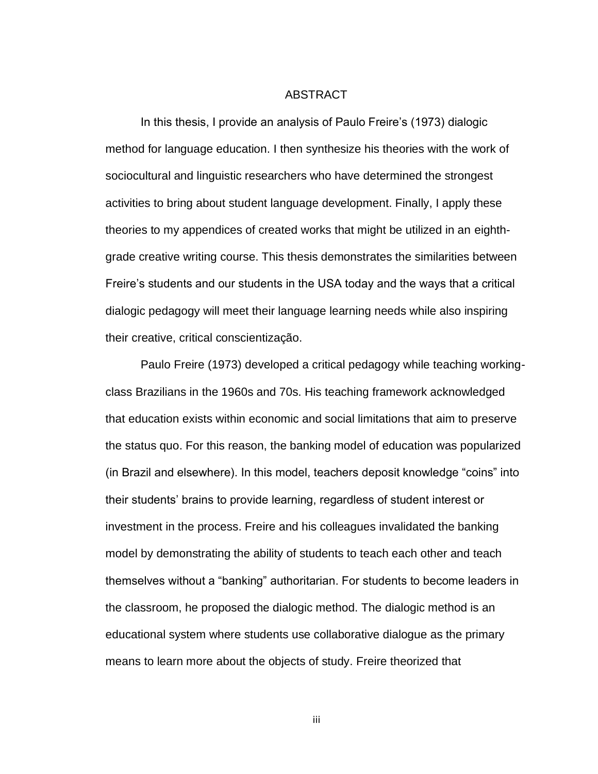#### ABSTRACT

<span id="page-4-0"></span>In this thesis, I provide an analysis of Paulo Freire's (1973) dialogic method for language education. I then synthesize his theories with the work of sociocultural and linguistic researchers who have determined the strongest activities to bring about student language development. Finally, I apply these theories to my appendices of created works that might be utilized in an eighthgrade creative writing course. This thesis demonstrates the similarities between Freire's students and our students in the USA today and the ways that a critical dialogic pedagogy will meet their language learning needs while also inspiring their creative, critical conscientização.

Paulo Freire (1973) developed a critical pedagogy while teaching workingclass Brazilians in the 1960s and 70s. His teaching framework acknowledged that education exists within economic and social limitations that aim to preserve the status quo. For this reason, the banking model of education was popularized (in Brazil and elsewhere). In this model, teachers deposit knowledge "coins" into their students' brains to provide learning, regardless of student interest or investment in the process. Freire and his colleagues invalidated the banking model by demonstrating the ability of students to teach each other and teach themselves without a "banking" authoritarian. For students to become leaders in the classroom, he proposed the dialogic method. The dialogic method is an educational system where students use collaborative dialogue as the primary means to learn more about the objects of study. Freire theorized that

iii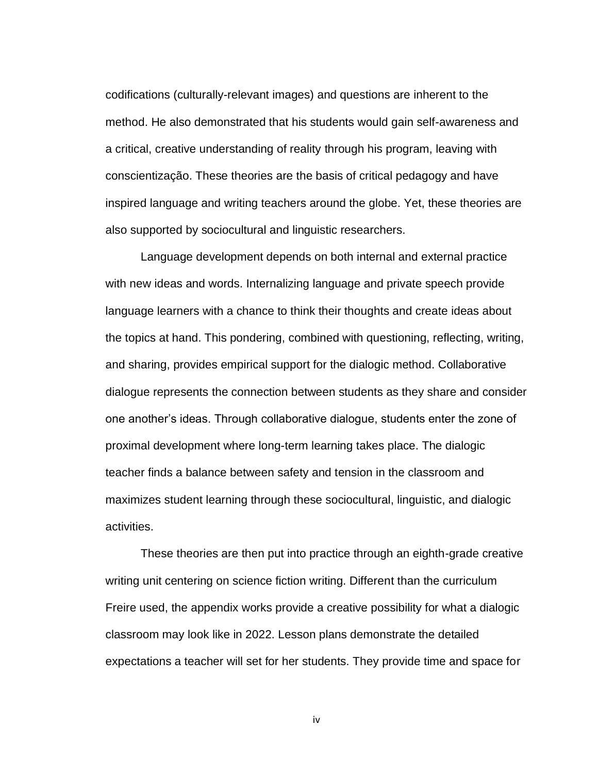codifications (culturally-relevant images) and questions are inherent to the method. He also demonstrated that his students would gain self-awareness and a critical, creative understanding of reality through his program, leaving with conscientização. These theories are the basis of critical pedagogy and have inspired language and writing teachers around the globe. Yet, these theories are also supported by sociocultural and linguistic researchers.

Language development depends on both internal and external practice with new ideas and words. Internalizing language and private speech provide language learners with a chance to think their thoughts and create ideas about the topics at hand. This pondering, combined with questioning, reflecting, writing, and sharing, provides empirical support for the dialogic method. Collaborative dialogue represents the connection between students as they share and consider one another's ideas. Through collaborative dialogue, students enter the zone of proximal development where long-term learning takes place. The dialogic teacher finds a balance between safety and tension in the classroom and maximizes student learning through these sociocultural, linguistic, and dialogic activities.

These theories are then put into practice through an eighth-grade creative writing unit centering on science fiction writing. Different than the curriculum Freire used, the appendix works provide a creative possibility for what a dialogic classroom may look like in 2022. Lesson plans demonstrate the detailed expectations a teacher will set for her students. They provide time and space for

iv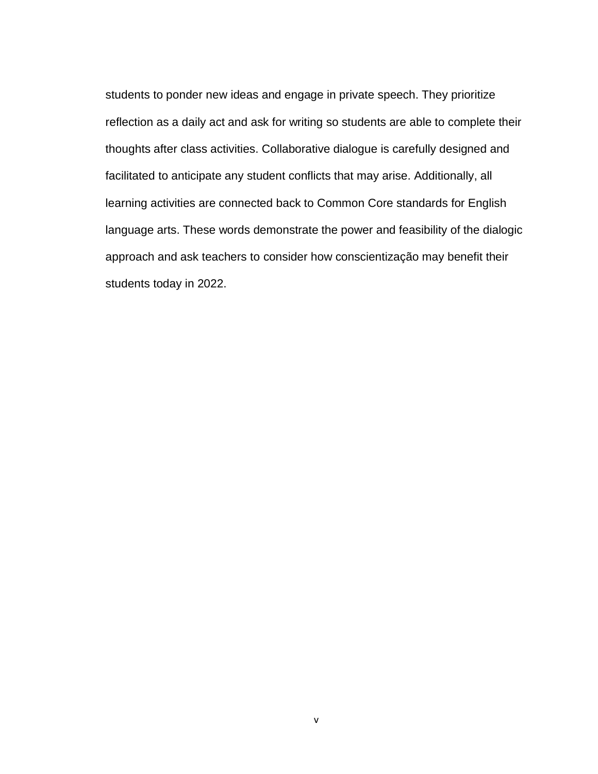students to ponder new ideas and engage in private speech. They prioritize reflection as a daily act and ask for writing so students are able to complete their thoughts after class activities. Collaborative dialogue is carefully designed and facilitated to anticipate any student conflicts that may arise. Additionally, all learning activities are connected back to Common Core standards for English language arts. These words demonstrate the power and feasibility of the dialogic approach and ask teachers to consider how conscientização may benefit their students today in 2022.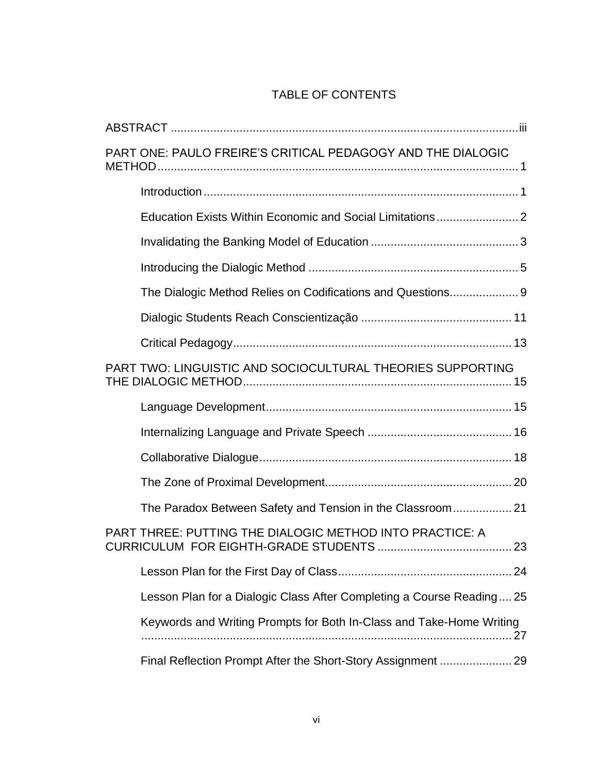| PART ONE: PAULO FREIRE'S CRITICAL PEDAGOGY AND THE DIALOGIC           |  |
|-----------------------------------------------------------------------|--|
|                                                                       |  |
|                                                                       |  |
|                                                                       |  |
|                                                                       |  |
| The Dialogic Method Relies on Codifications and Questions 9           |  |
|                                                                       |  |
|                                                                       |  |
| PART TWO: LINGUISTIC AND SOCIOCULTURAL THEORIES SUPPORTING            |  |
|                                                                       |  |
|                                                                       |  |
|                                                                       |  |
|                                                                       |  |
| The Paradox Between Safety and Tension in the Classroom 21            |  |
| PART THREE: PUTTING THE DIALOGIC METHOD INTO PRACTICE: A              |  |
|                                                                       |  |
| Lesson Plan for a Dialogic Class After Completing a Course Reading 25 |  |
| Keywords and Writing Prompts for Both In-Class and Take-Home Writing  |  |
| Final Reflection Prompt After the Short-Story Assignment  29          |  |

# TABLE OF CONTENTS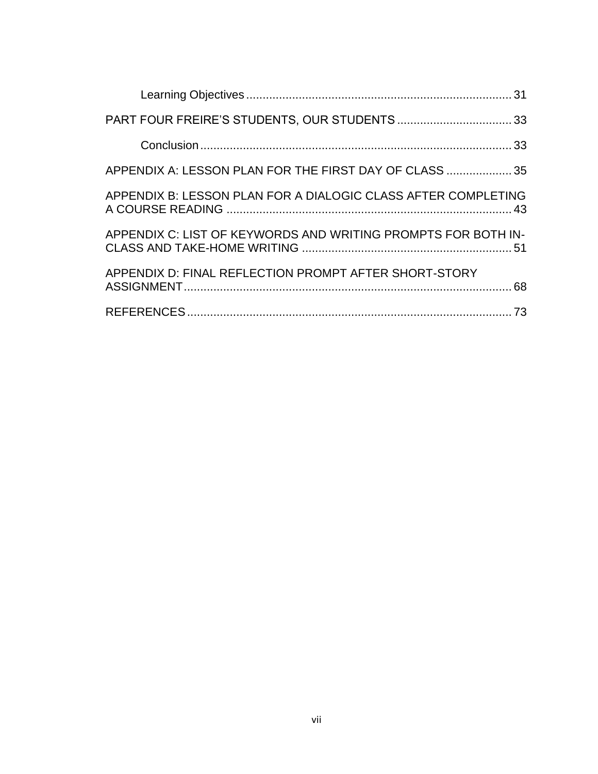| APPENDIX A: LESSON PLAN FOR THE FIRST DAY OF CLASS  35        |  |
|---------------------------------------------------------------|--|
| APPENDIX B: LESSON PLAN FOR A DIALOGIC CLASS AFTER COMPLETING |  |
| APPENDIX C: LIST OF KEYWORDS AND WRITING PROMPTS FOR BOTH IN- |  |
| APPENDIX D: FINAL REFLECTION PROMPT AFTER SHORT-STORY         |  |
|                                                               |  |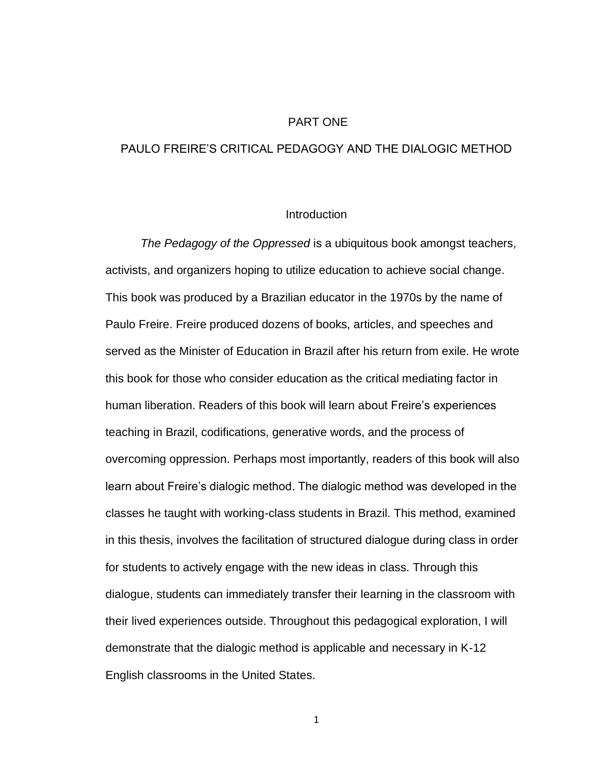#### <span id="page-9-0"></span>PART ONE

# PAULO FREIRE'S CRITICAL PEDAGOGY AND THE DIALOGIC METHOD

### **Introduction**

<span id="page-9-1"></span>*The Pedagogy of the Oppressed* is a ubiquitous book amongst teachers, activists, and organizers hoping to utilize education to achieve social change. This book was produced by a Brazilian educator in the 1970s by the name of Paulo Freire. Freire produced dozens of books, articles, and speeches and served as the Minister of Education in Brazil after his return from exile. He wrote this book for those who consider education as the critical mediating factor in human liberation. Readers of this book will learn about Freire's experiences teaching in Brazil, codifications, generative words, and the process of overcoming oppression. Perhaps most importantly, readers of this book will also learn about Freire's dialogic method. The dialogic method was developed in the classes he taught with working-class students in Brazil. This method, examined in this thesis, involves the facilitation of structured dialogue during class in order for students to actively engage with the new ideas in class. Through this dialogue, students can immediately transfer their learning in the classroom with their lived experiences outside. Throughout this pedagogical exploration, I will demonstrate that the dialogic method is applicable and necessary in K-12 English classrooms in the United States.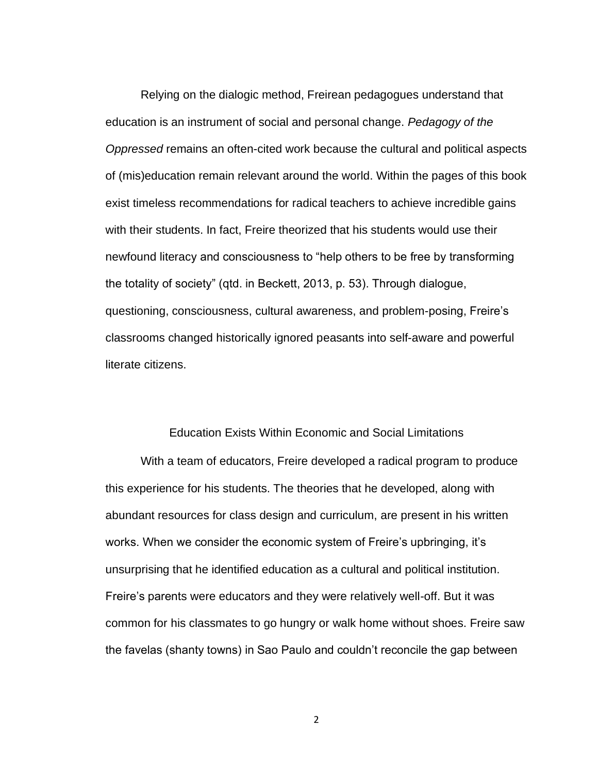Relying on the dialogic method, Freirean pedagogues understand that education is an instrument of social and personal change. *Pedagogy of the Oppressed* remains an often-cited work because the cultural and political aspects of (mis)education remain relevant around the world. Within the pages of this book exist timeless recommendations for radical teachers to achieve incredible gains with their students. In fact, Freire theorized that his students would use their newfound literacy and consciousness to "help others to be free by transforming the totality of society" (qtd. in Beckett, 2013, p. 53). Through dialogue, questioning, consciousness, cultural awareness, and problem-posing, Freire's classrooms changed historically ignored peasants into self-aware and powerful literate citizens.

#### Education Exists Within Economic and Social Limitations

<span id="page-10-0"></span>With a team of educators, Freire developed a radical program to produce this experience for his students. The theories that he developed, along with abundant resources for class design and curriculum, are present in his written works. When we consider the economic system of Freire's upbringing, it's unsurprising that he identified education as a cultural and political institution. Freire's parents were educators and they were relatively well-off. But it was common for his classmates to go hungry or walk home without shoes. Freire saw the favelas (shanty towns) in Sao Paulo and couldn't reconcile the gap between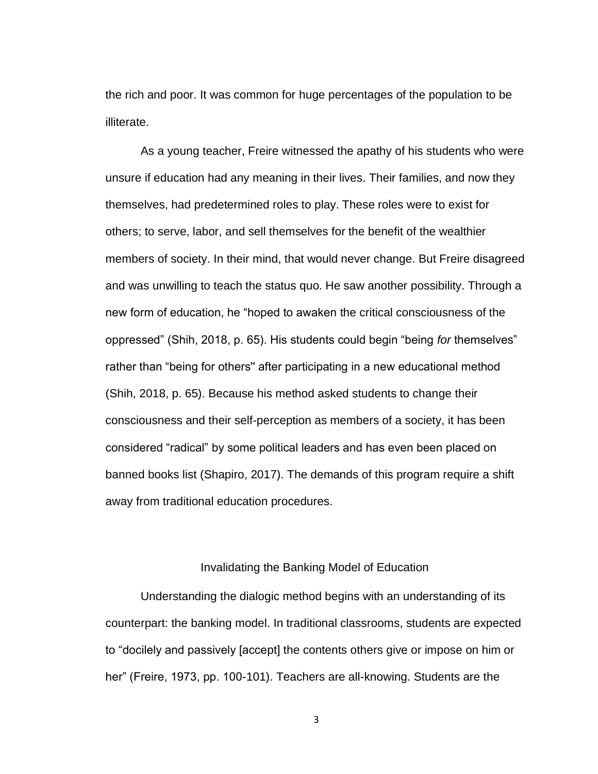the rich and poor. It was common for huge percentages of the population to be illiterate.

As a young teacher, Freire witnessed the apathy of his students who were unsure if education had any meaning in their lives. Their families, and now they themselves, had predetermined roles to play. These roles were to exist for others; to serve, labor, and sell themselves for the benefit of the wealthier members of society. In their mind, that would never change. But Freire disagreed and was unwilling to teach the status quo. He saw another possibility. Through a new form of education, he "hoped to awaken the critical consciousness of the oppressed" (Shih, 2018, p. 65). His students could begin "being *for* themselves" rather than "being for others'' after participating in a new educational method (Shih, 2018, p. 65). Because his method asked students to change their consciousness and their self-perception as members of a society, it has been considered "radical" by some political leaders and has even been placed on banned books list (Shapiro, 2017). The demands of this program require a shift away from traditional education procedures.

# Invalidating the Banking Model of Education

<span id="page-11-0"></span>Understanding the dialogic method begins with an understanding of its counterpart: the banking model. In traditional classrooms, students are expected to "docilely and passively [accept] the contents others give or impose on him or her" (Freire, 1973, pp. 100-101). Teachers are all-knowing. Students are the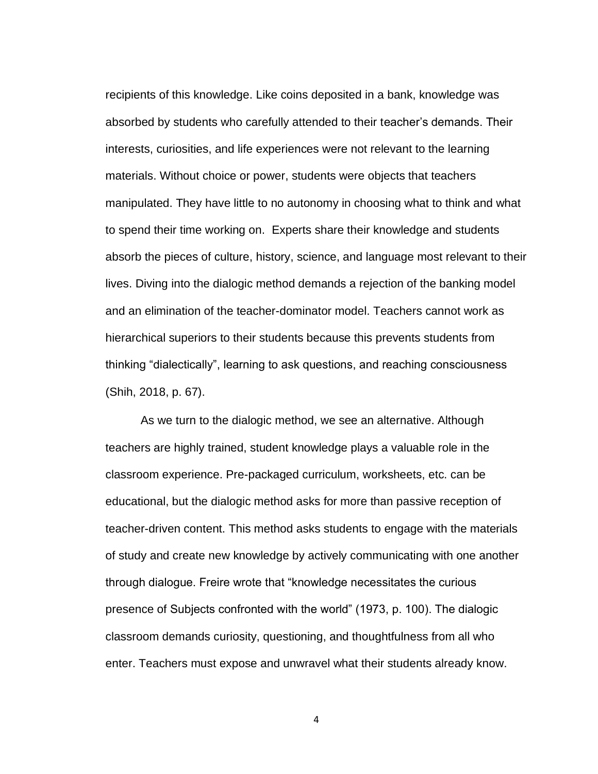recipients of this knowledge. Like coins deposited in a bank, knowledge was absorbed by students who carefully attended to their teacher's demands. Their interests, curiosities, and life experiences were not relevant to the learning materials. Without choice or power, students were objects that teachers manipulated. They have little to no autonomy in choosing what to think and what to spend their time working on. Experts share their knowledge and students absorb the pieces of culture, history, science, and language most relevant to their lives. Diving into the dialogic method demands a rejection of the banking model and an elimination of the teacher-dominator model. Teachers cannot work as hierarchical superiors to their students because this prevents students from thinking "dialectically", learning to ask questions, and reaching consciousness (Shih, 2018, p. 67).

As we turn to the dialogic method, we see an alternative. Although teachers are highly trained, student knowledge plays a valuable role in the classroom experience. Pre-packaged curriculum, worksheets, etc. can be educational, but the dialogic method asks for more than passive reception of teacher-driven content. This method asks students to engage with the materials of study and create new knowledge by actively communicating with one another through dialogue. Freire wrote that "knowledge necessitates the curious presence of Subjects confronted with the world" (1973, p. 100). The dialogic classroom demands curiosity, questioning, and thoughtfulness from all who enter. Teachers must expose and unwravel what their students already know.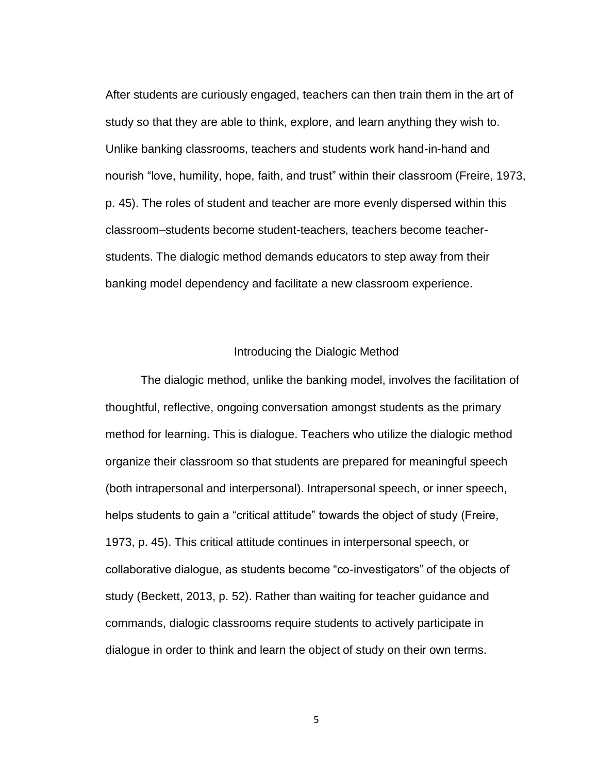After students are curiously engaged, teachers can then train them in the art of study so that they are able to think, explore, and learn anything they wish to. Unlike banking classrooms, teachers and students work hand-in-hand and nourish "love, humility, hope, faith, and trust" within their classroom (Freire, 1973, p. 45). The roles of student and teacher are more evenly dispersed within this classroom–students become student-teachers, teachers become teacherstudents. The dialogic method demands educators to step away from their banking model dependency and facilitate a new classroom experience.

# Introducing the Dialogic Method

<span id="page-13-0"></span>The dialogic method, unlike the banking model, involves the facilitation of thoughtful, reflective, ongoing conversation amongst students as the primary method for learning. This is dialogue. Teachers who utilize the dialogic method organize their classroom so that students are prepared for meaningful speech (both intrapersonal and interpersonal). Intrapersonal speech, or inner speech, helps students to gain a "critical attitude" towards the object of study (Freire, 1973, p. 45). This critical attitude continues in interpersonal speech, or collaborative dialogue, as students become "co-investigators" of the objects of study (Beckett, 2013, p. 52). Rather than waiting for teacher guidance and commands, dialogic classrooms require students to actively participate in dialogue in order to think and learn the object of study on their own terms.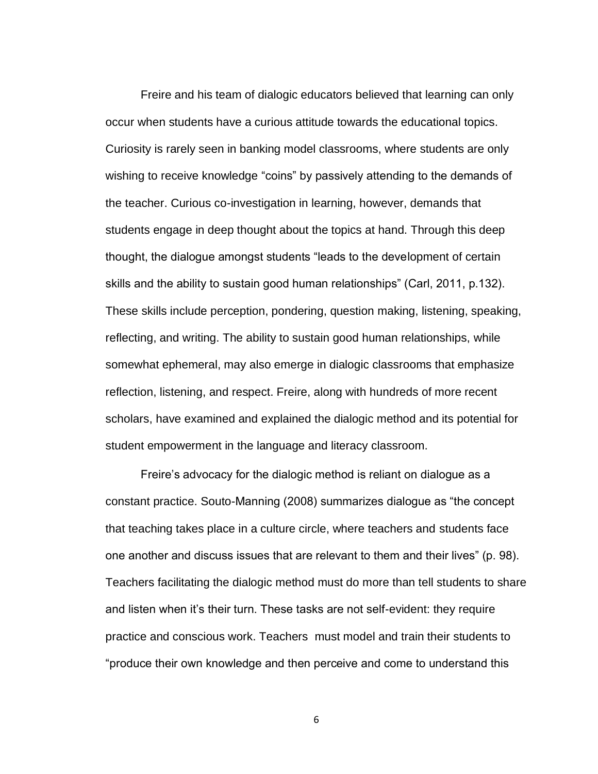Freire and his team of dialogic educators believed that learning can only occur when students have a curious attitude towards the educational topics. Curiosity is rarely seen in banking model classrooms, where students are only wishing to receive knowledge "coins" by passively attending to the demands of the teacher. Curious co-investigation in learning, however, demands that students engage in deep thought about the topics at hand. Through this deep thought, the dialogue amongst students "leads to the development of certain skills and the ability to sustain good human relationships" (Carl, 2011, p.132). These skills include perception, pondering, question making, listening, speaking, reflecting, and writing. The ability to sustain good human relationships, while somewhat ephemeral, may also emerge in dialogic classrooms that emphasize reflection, listening, and respect. Freire, along with hundreds of more recent scholars, have examined and explained the dialogic method and its potential for student empowerment in the language and literacy classroom.

Freire's advocacy for the dialogic method is reliant on dialogue as a constant practice. Souto-Manning (2008) summarizes dialogue as "the concept that teaching takes place in a culture circle, where teachers and students face one another and discuss issues that are relevant to them and their lives" (p. 98). Teachers facilitating the dialogic method must do more than tell students to share and listen when it's their turn. These tasks are not self-evident: they require practice and conscious work. Teachers must model and train their students to "produce their own knowledge and then perceive and come to understand this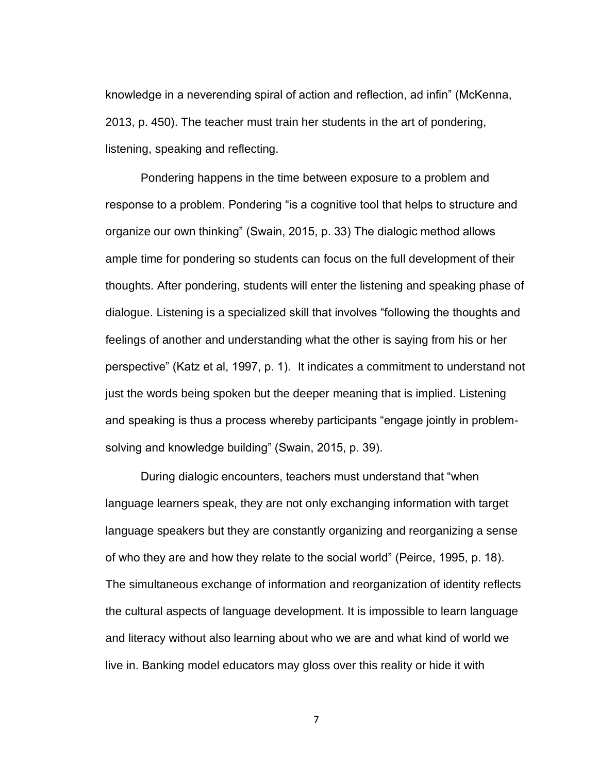knowledge in a neverending spiral of action and reflection, ad infin" (McKenna, 2013, p. 450). The teacher must train her students in the art of pondering, listening, speaking and reflecting.

Pondering happens in the time between exposure to a problem and response to a problem. Pondering "is a cognitive tool that helps to structure and organize our own thinking" (Swain, 2015, p. 33) The dialogic method allows ample time for pondering so students can focus on the full development of their thoughts. After pondering, students will enter the listening and speaking phase of dialogue. Listening is a specialized skill that involves "following the thoughts and feelings of another and understanding what the other is saying from his or her perspective" (Katz et al, 1997, p. 1). It indicates a commitment to understand not just the words being spoken but the deeper meaning that is implied. Listening and speaking is thus a process whereby participants "engage jointly in problemsolving and knowledge building" (Swain, 2015, p. 39).

During dialogic encounters, teachers must understand that "when language learners speak, they are not only exchanging information with target language speakers but they are constantly organizing and reorganizing a sense of who they are and how they relate to the social world" (Peirce, 1995, p. 18). The simultaneous exchange of information and reorganization of identity reflects the cultural aspects of language development. It is impossible to learn language and literacy without also learning about who we are and what kind of world we live in. Banking model educators may gloss over this reality or hide it with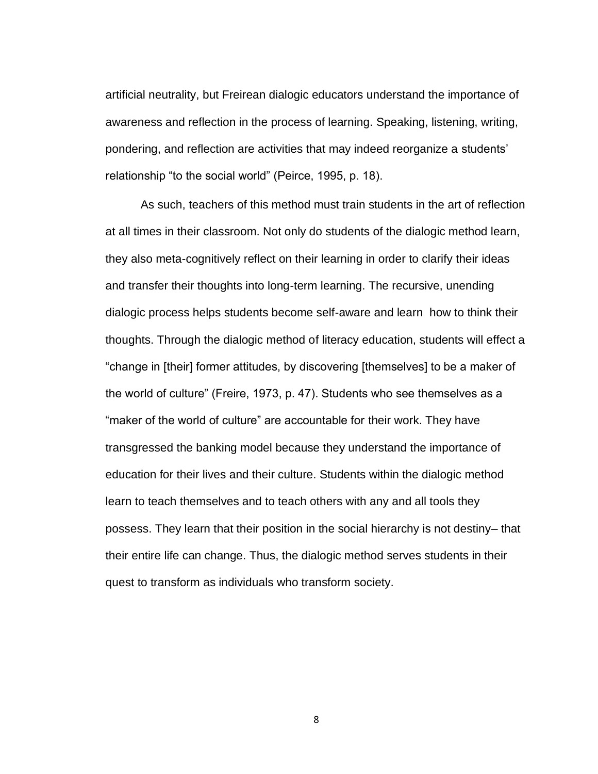artificial neutrality, but Freirean dialogic educators understand the importance of awareness and reflection in the process of learning. Speaking, listening, writing, pondering, and reflection are activities that may indeed reorganize a students' relationship "to the social world" (Peirce, 1995, p. 18).

As such, teachers of this method must train students in the art of reflection at all times in their classroom. Not only do students of the dialogic method learn, they also meta-cognitively reflect on their learning in order to clarify their ideas and transfer their thoughts into long-term learning. The recursive, unending dialogic process helps students become self-aware and learn how to think their thoughts. Through the dialogic method of literacy education, students will effect a "change in [their] former attitudes, by discovering [themselves] to be a maker of the world of culture" (Freire, 1973, p. 47). Students who see themselves as a "maker of the world of culture" are accountable for their work. They have transgressed the banking model because they understand the importance of education for their lives and their culture. Students within the dialogic method learn to teach themselves and to teach others with any and all tools they possess. They learn that their position in the social hierarchy is not destiny– that their entire life can change. Thus, the dialogic method serves students in their quest to transform as individuals who transform society.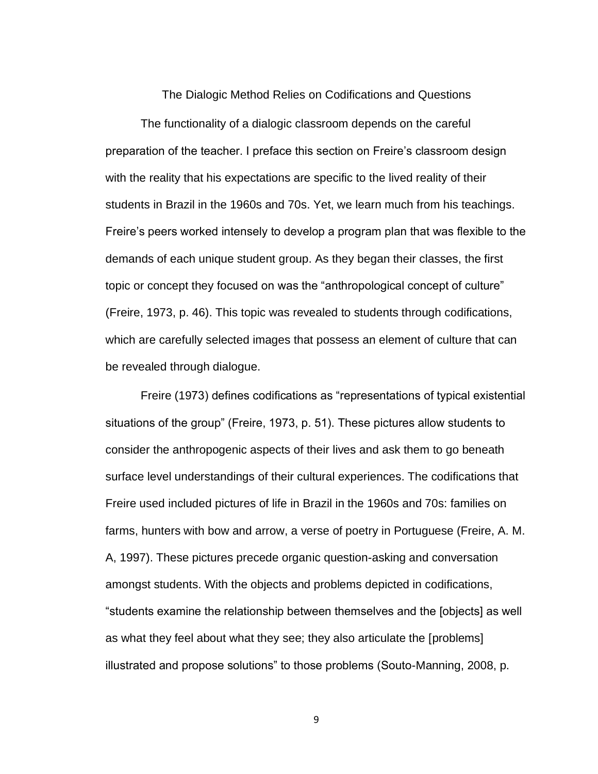The Dialogic Method Relies on Codifications and Questions

<span id="page-17-0"></span>The functionality of a dialogic classroom depends on the careful preparation of the teacher. I preface this section on Freire's classroom design with the reality that his expectations are specific to the lived reality of their students in Brazil in the 1960s and 70s. Yet, we learn much from his teachings. Freire's peers worked intensely to develop a program plan that was flexible to the demands of each unique student group. As they began their classes, the first topic or concept they focused on was the "anthropological concept of culture" (Freire, 1973, p. 46). This topic was revealed to students through codifications, which are carefully selected images that possess an element of culture that can be revealed through dialogue.

Freire (1973) defines codifications as "representations of typical existential situations of the group" (Freire, 1973, p. 51). These pictures allow students to consider the anthropogenic aspects of their lives and ask them to go beneath surface level understandings of their cultural experiences. The codifications that Freire used included pictures of life in Brazil in the 1960s and 70s: families on farms, hunters with bow and arrow, a verse of poetry in Portuguese (Freire, A. M. A, 1997). These pictures precede organic question-asking and conversation amongst students. With the objects and problems depicted in codifications, "students examine the relationship between themselves and the [objects] as well as what they feel about what they see; they also articulate the [problems] illustrated and propose solutions" to those problems (Souto-Manning, 2008, p.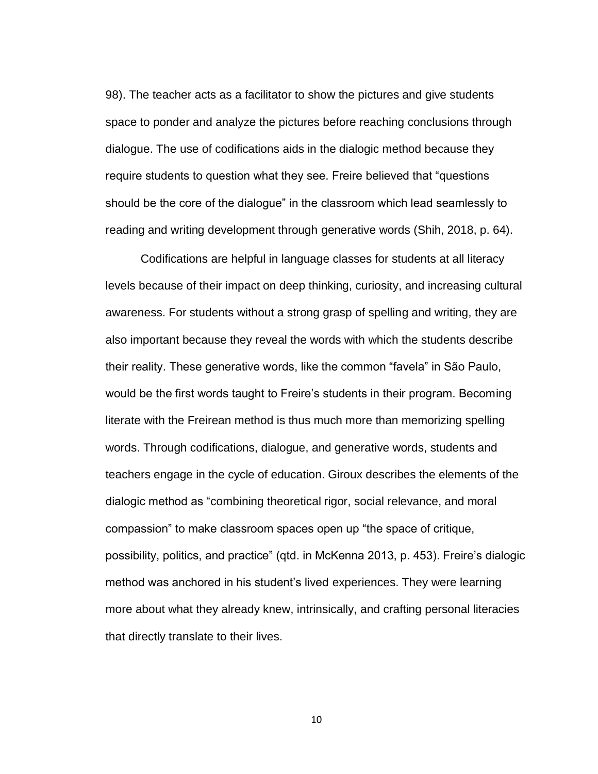98). The teacher acts as a facilitator to show the pictures and give students space to ponder and analyze the pictures before reaching conclusions through dialogue. The use of codifications aids in the dialogic method because they require students to question what they see. Freire believed that "questions should be the core of the dialogue" in the classroom which lead seamlessly to reading and writing development through generative words (Shih, 2018, p. 64).

Codifications are helpful in language classes for students at all literacy levels because of their impact on deep thinking, curiosity, and increasing cultural awareness. For students without a strong grasp of spelling and writing, they are also important because they reveal the words with which the students describe their reality. These generative words, like the common "favela" in São Paulo, would be the first words taught to Freire's students in their program. Becoming literate with the Freirean method is thus much more than memorizing spelling words. Through codifications, dialogue, and generative words, students and teachers engage in the cycle of education. Giroux describes the elements of the dialogic method as "combining theoretical rigor, social relevance, and moral compassion" to make classroom spaces open up "the space of critique, possibility, politics, and practice" (qtd. in McKenna 2013, p. 453). Freire's dialogic method was anchored in his student's lived experiences. They were learning more about what they already knew, intrinsically, and crafting personal literacies that directly translate to their lives.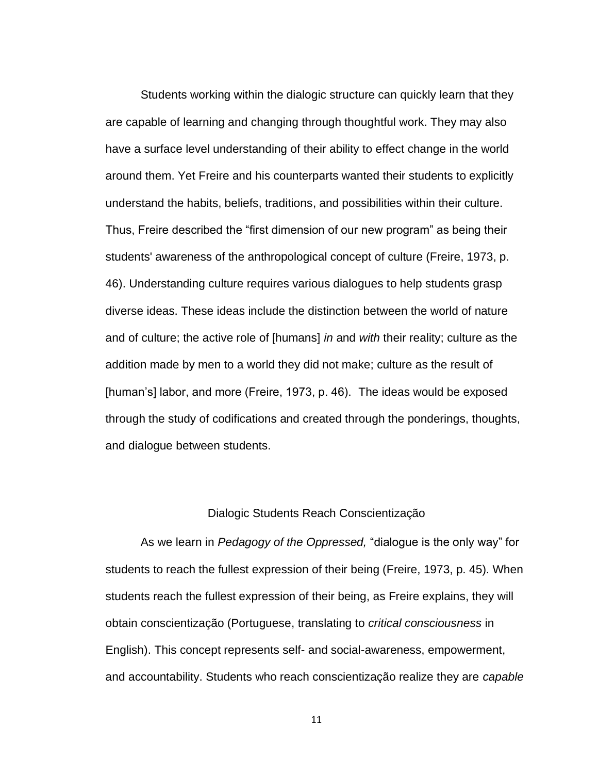Students working within the dialogic structure can quickly learn that they are capable of learning and changing through thoughtful work. They may also have a surface level understanding of their ability to effect change in the world around them. Yet Freire and his counterparts wanted their students to explicitly understand the habits, beliefs, traditions, and possibilities within their culture. Thus, Freire described the "first dimension of our new program" as being their students' awareness of the anthropological concept of culture (Freire, 1973, p. 46). Understanding culture requires various dialogues to help students grasp diverse ideas. These ideas include the distinction between the world of nature and of culture; the active role of [humans] *in* and *with* their reality; culture as the addition made by men to a world they did not make; culture as the result of [human's] labor, and more (Freire, 1973, p. 46). The ideas would be exposed through the study of codifications and created through the ponderings, thoughts, and dialogue between students.

# Dialogic Students Reach Conscientização

<span id="page-19-0"></span>As we learn in *Pedagogy of the Oppressed,* "dialogue is the only way" for students to reach the fullest expression of their being (Freire, 1973, p. 45). When students reach the fullest expression of their being, as Freire explains, they will obtain conscientização (Portuguese, translating to *critical consciousness* in English). This concept represents self- and social-awareness, empowerment, and accountability. Students who reach conscientização realize they are *capable*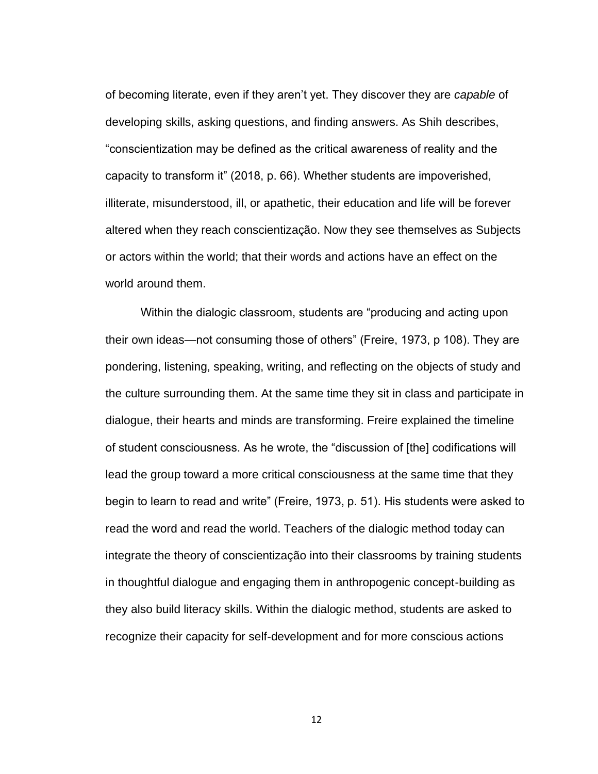of becoming literate, even if they aren't yet. They discover they are *capable* of developing skills, asking questions, and finding answers. As Shih describes, "conscientization may be defined as the critical awareness of reality and the capacity to transform it" (2018, p. 66). Whether students are impoverished, illiterate, misunderstood, ill, or apathetic, their education and life will be forever altered when they reach conscientização. Now they see themselves as Subjects or actors within the world; that their words and actions have an effect on the world around them.

Within the dialogic classroom, students are "producing and acting upon their own ideas—not consuming those of others" (Freire, 1973, p 108). They are pondering, listening, speaking, writing, and reflecting on the objects of study and the culture surrounding them. At the same time they sit in class and participate in dialogue, their hearts and minds are transforming. Freire explained the timeline of student consciousness. As he wrote, the "discussion of [the] codifications will lead the group toward a more critical consciousness at the same time that they begin to learn to read and write" (Freire, 1973, p. 51). His students were asked to read the word and read the world. Teachers of the dialogic method today can integrate the theory of conscientização into their classrooms by training students in thoughtful dialogue and engaging them in anthropogenic concept-building as they also build literacy skills. Within the dialogic method, students are asked to recognize their capacity for self-development and for more conscious actions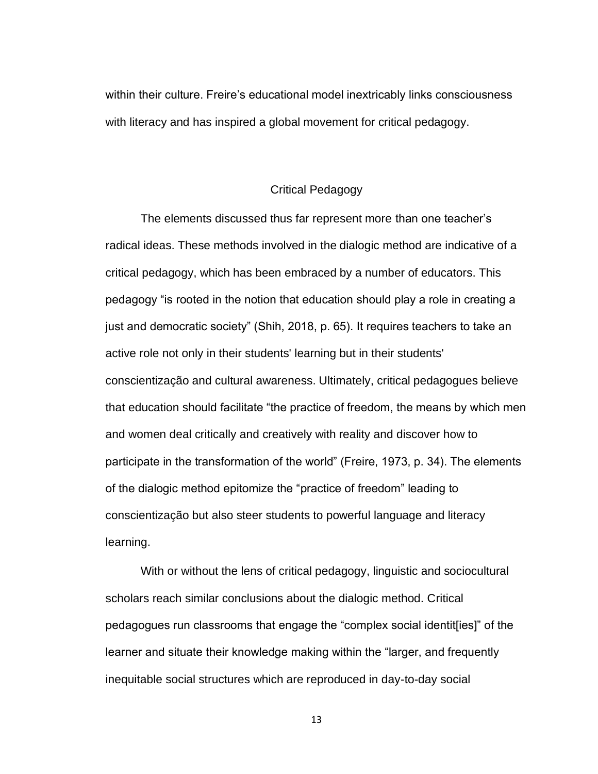within their culture. Freire's educational model inextricably links consciousness with literacy and has inspired a global movement for critical pedagogy.

# Critical Pedagogy

<span id="page-21-0"></span>The elements discussed thus far represent more than one teacher's radical ideas. These methods involved in the dialogic method are indicative of a critical pedagogy, which has been embraced by a number of educators. This pedagogy "is rooted in the notion that education should play a role in creating a just and democratic society" (Shih, 2018, p. 65). It requires teachers to take an active role not only in their students' learning but in their students' conscientização and cultural awareness. Ultimately, critical pedagogues believe that education should facilitate "the practice of freedom, the means by which men and women deal critically and creatively with reality and discover how to participate in the transformation of the world" (Freire, 1973, p. 34). The elements of the dialogic method epitomize the "practice of freedom" leading to conscientização but also steer students to powerful language and literacy learning.

With or without the lens of critical pedagogy, linguistic and sociocultural scholars reach similar conclusions about the dialogic method. Critical pedagogues run classrooms that engage the "complex social identit[ies]" of the learner and situate their knowledge making within the "larger, and frequently inequitable social structures which are reproduced in day-to-day social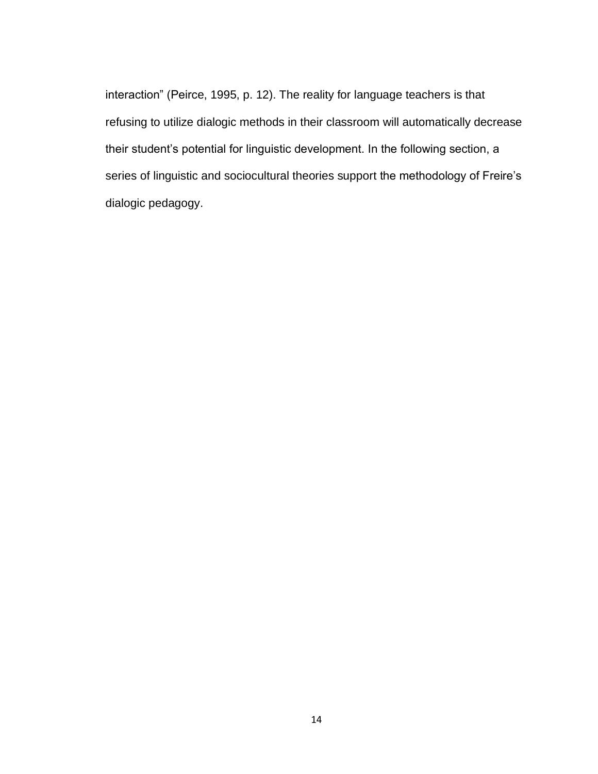interaction" (Peirce, 1995, p. 12). The reality for language teachers is that refusing to utilize dialogic methods in their classroom will automatically decrease their student's potential for linguistic development. In the following section, a series of linguistic and sociocultural theories support the methodology of Freire's dialogic pedagogy.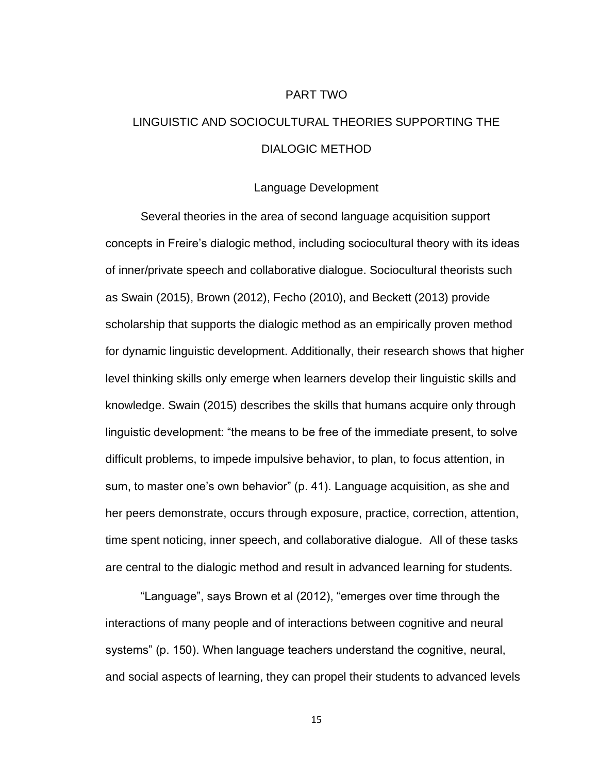#### PART TWO

# <span id="page-23-0"></span>LINGUISTIC AND SOCIOCULTURAL THEORIES SUPPORTING THE DIALOGIC METHOD

### Language Development

<span id="page-23-1"></span>Several theories in the area of second language acquisition support concepts in Freire's dialogic method, including sociocultural theory with its ideas of inner/private speech and collaborative dialogue. Sociocultural theorists such as Swain (2015), Brown (2012), Fecho (2010), and Beckett (2013) provide scholarship that supports the dialogic method as an empirically proven method for dynamic linguistic development. Additionally, their research shows that higher level thinking skills only emerge when learners develop their linguistic skills and knowledge. Swain (2015) describes the skills that humans acquire only through linguistic development: "the means to be free of the immediate present, to solve difficult problems, to impede impulsive behavior, to plan, to focus attention, in sum, to master one's own behavior" (p. 41). Language acquisition, as she and her peers demonstrate, occurs through exposure, practice, correction, attention, time spent noticing, inner speech, and collaborative dialogue. All of these tasks are central to the dialogic method and result in advanced learning for students.

"Language", says Brown et al (2012), "emerges over time through the interactions of many people and of interactions between cognitive and neural systems" (p. 150). When language teachers understand the cognitive, neural, and social aspects of learning, they can propel their students to advanced levels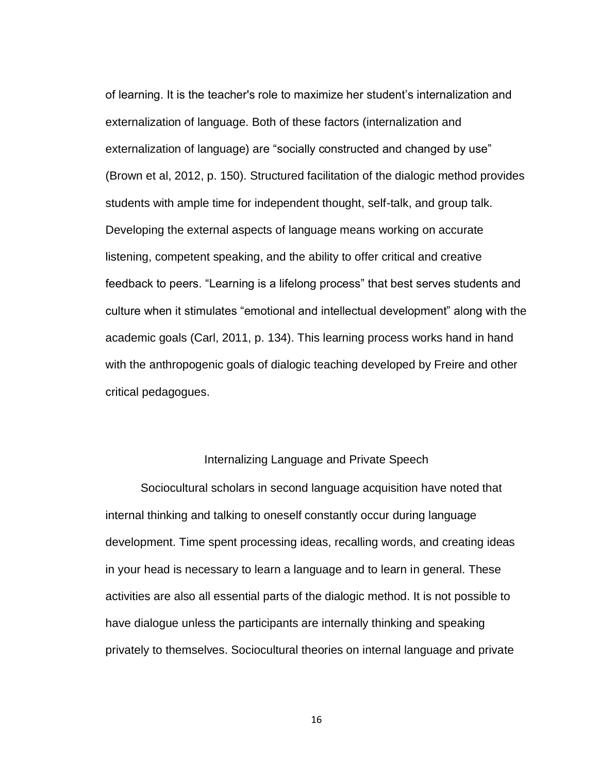of learning. It is the teacher's role to maximize her student's internalization and externalization of language. Both of these factors (internalization and externalization of language) are "socially constructed and changed by use" (Brown et al, 2012, p. 150). Structured facilitation of the dialogic method provides students with ample time for independent thought, self-talk, and group talk. Developing the external aspects of language means working on accurate listening, competent speaking, and the ability to offer critical and creative feedback to peers. "Learning is a lifelong process" that best serves students and culture when it stimulates "emotional and intellectual development" along with the academic goals (Carl, 2011, p. 134). This learning process works hand in hand with the anthropogenic goals of dialogic teaching developed by Freire and other critical pedagogues.

### Internalizing Language and Private Speech

<span id="page-24-0"></span>Sociocultural scholars in second language acquisition have noted that internal thinking and talking to oneself constantly occur during language development. Time spent processing ideas, recalling words, and creating ideas in your head is necessary to learn a language and to learn in general. These activities are also all essential parts of the dialogic method. It is not possible to have dialogue unless the participants are internally thinking and speaking privately to themselves. Sociocultural theories on internal language and private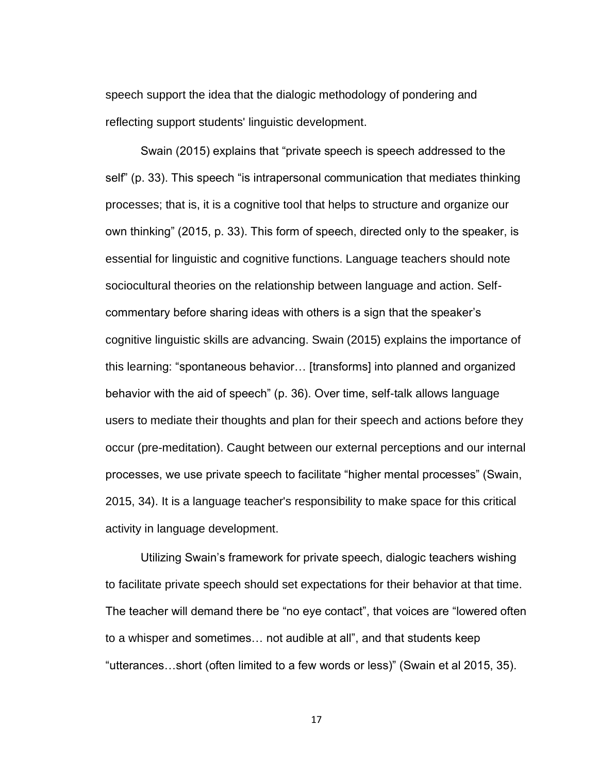speech support the idea that the dialogic methodology of pondering and reflecting support students' linguistic development.

Swain (2015) explains that "private speech is speech addressed to the self" (p. 33). This speech "is intrapersonal communication that mediates thinking processes; that is, it is a cognitive tool that helps to structure and organize our own thinking" (2015, p. 33). This form of speech, directed only to the speaker, is essential for linguistic and cognitive functions. Language teachers should note sociocultural theories on the relationship between language and action. Selfcommentary before sharing ideas with others is a sign that the speaker's cognitive linguistic skills are advancing. Swain (2015) explains the importance of this learning: "spontaneous behavior… [transforms] into planned and organized behavior with the aid of speech" (p. 36). Over time, self-talk allows language users to mediate their thoughts and plan for their speech and actions before they occur (pre-meditation). Caught between our external perceptions and our internal processes, we use private speech to facilitate "higher mental processes" (Swain, 2015, 34). It is a language teacher's responsibility to make space for this critical activity in language development.

Utilizing Swain's framework for private speech, dialogic teachers wishing to facilitate private speech should set expectations for their behavior at that time. The teacher will demand there be "no eye contact", that voices are "lowered often to a whisper and sometimes… not audible at all", and that students keep "utterances…short (often limited to a few words or less)" (Swain et al 2015, 35).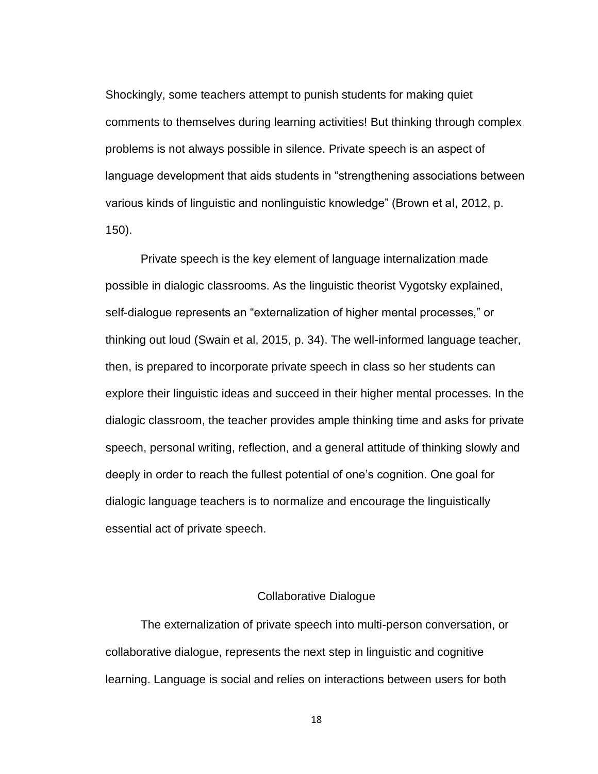Shockingly, some teachers attempt to punish students for making quiet comments to themselves during learning activities! But thinking through complex problems is not always possible in silence. Private speech is an aspect of language development that aids students in "strengthening associations between various kinds of linguistic and nonlinguistic knowledge" (Brown et al, 2012, p. 150).

Private speech is the key element of language internalization made possible in dialogic classrooms. As the linguistic theorist Vygotsky explained, self-dialogue represents an "externalization of higher mental processes," or thinking out loud (Swain et al, 2015, p. 34). The well-informed language teacher, then, is prepared to incorporate private speech in class so her students can explore their linguistic ideas and succeed in their higher mental processes. In the dialogic classroom, the teacher provides ample thinking time and asks for private speech, personal writing, reflection, and a general attitude of thinking slowly and deeply in order to reach the fullest potential of one's cognition. One goal for dialogic language teachers is to normalize and encourage the linguistically essential act of private speech.

# Collaborative Dialogue

<span id="page-26-0"></span>The externalization of private speech into multi-person conversation, or collaborative dialogue, represents the next step in linguistic and cognitive learning. Language is social and relies on interactions between users for both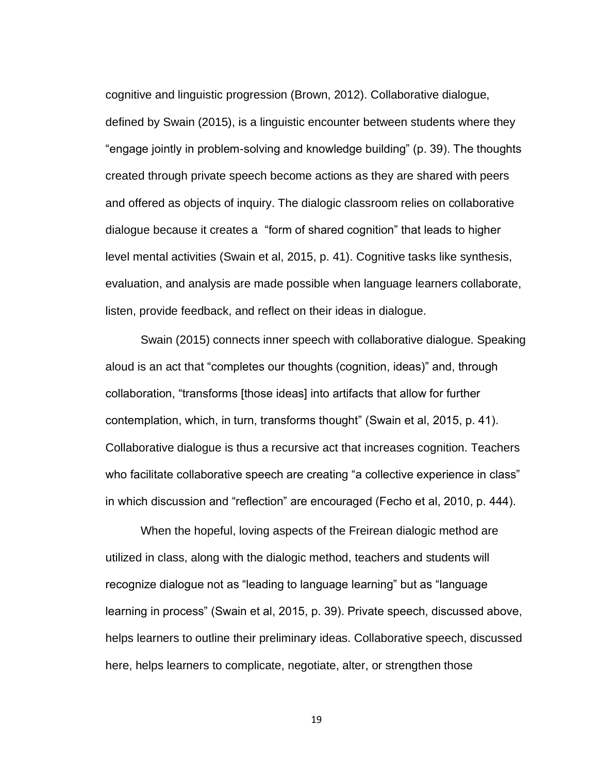cognitive and linguistic progression (Brown, 2012). Collaborative dialogue, defined by Swain (2015), is a linguistic encounter between students where they "engage jointly in problem-solving and knowledge building" (p. 39). The thoughts created through private speech become actions as they are shared with peers and offered as objects of inquiry. The dialogic classroom relies on collaborative dialogue because it creates a "form of shared cognition" that leads to higher level mental activities (Swain et al, 2015, p. 41). Cognitive tasks like synthesis, evaluation, and analysis are made possible when language learners collaborate, listen, provide feedback, and reflect on their ideas in dialogue.

Swain (2015) connects inner speech with collaborative dialogue. Speaking aloud is an act that "completes our thoughts (cognition, ideas)" and, through collaboration, "transforms [those ideas] into artifacts that allow for further contemplation, which, in turn, transforms thought" (Swain et al, 2015, p. 41). Collaborative dialogue is thus a recursive act that increases cognition. Teachers who facilitate collaborative speech are creating "a collective experience in class" in which discussion and "reflection" are encouraged (Fecho et al, 2010, p. 444).

When the hopeful, loving aspects of the Freirean dialogic method are utilized in class, along with the dialogic method, teachers and students will recognize dialogue not as "leading to language learning" but as "language learning in process" (Swain et al, 2015, p. 39). Private speech, discussed above, helps learners to outline their preliminary ideas. Collaborative speech, discussed here, helps learners to complicate, negotiate, alter, or strengthen those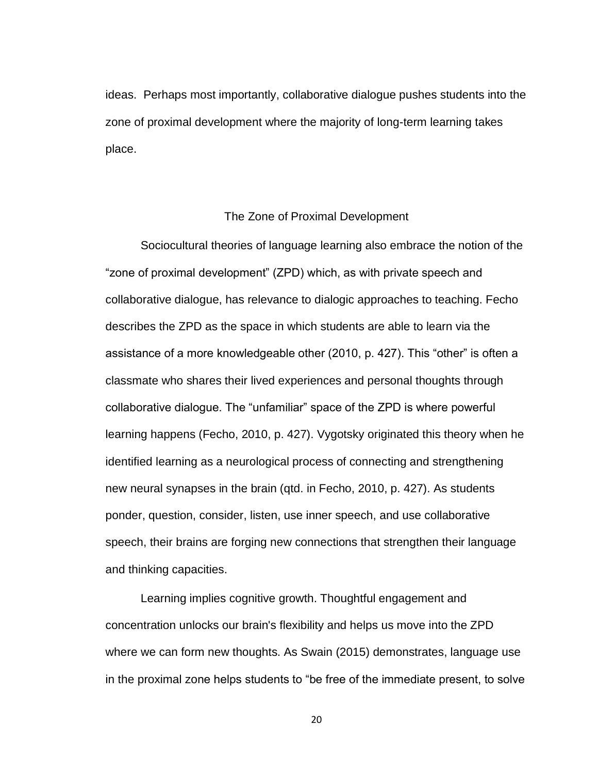ideas. Perhaps most importantly, collaborative dialogue pushes students into the zone of proximal development where the majority of long-term learning takes place.

# The Zone of Proximal Development

<span id="page-28-0"></span>Sociocultural theories of language learning also embrace the notion of the "zone of proximal development" (ZPD) which, as with private speech and collaborative dialogue, has relevance to dialogic approaches to teaching. Fecho describes the ZPD as the space in which students are able to learn via the assistance of a more knowledgeable other (2010, p. 427). This "other" is often a classmate who shares their lived experiences and personal thoughts through collaborative dialogue. The "unfamiliar" space of the ZPD is where powerful learning happens (Fecho, 2010, p. 427). Vygotsky originated this theory when he identified learning as a neurological process of connecting and strengthening new neural synapses in the brain (qtd. in Fecho, 2010, p. 427). As students ponder, question, consider, listen, use inner speech, and use collaborative speech, their brains are forging new connections that strengthen their language and thinking capacities.

Learning implies cognitive growth. Thoughtful engagement and concentration unlocks our brain's flexibility and helps us move into the ZPD where we can form new thoughts. As Swain (2015) demonstrates, language use in the proximal zone helps students to "be free of the immediate present, to solve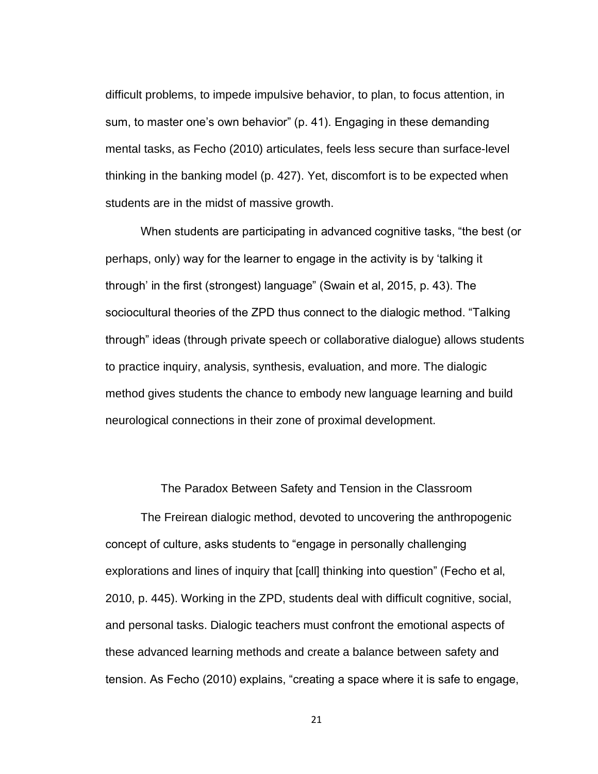difficult problems, to impede impulsive behavior, to plan, to focus attention, in sum, to master one's own behavior" (p. 41). Engaging in these demanding mental tasks, as Fecho (2010) articulates, feels less secure than surface-level thinking in the banking model (p. 427). Yet, discomfort is to be expected when students are in the midst of massive growth.

When students are participating in advanced cognitive tasks, "the best (or perhaps, only) way for the learner to engage in the activity is by 'talking it through' in the first (strongest) language" (Swain et al, 2015, p. 43). The sociocultural theories of the ZPD thus connect to the dialogic method. "Talking through" ideas (through private speech or collaborative dialogue) allows students to practice inquiry, analysis, synthesis, evaluation, and more. The dialogic method gives students the chance to embody new language learning and build neurological connections in their zone of proximal development.

The Paradox Between Safety and Tension in the Classroom

<span id="page-29-0"></span>The Freirean dialogic method, devoted to uncovering the anthropogenic concept of culture, asks students to "engage in personally challenging explorations and lines of inquiry that [call] thinking into question" (Fecho et al, 2010, p. 445). Working in the ZPD, students deal with difficult cognitive, social, and personal tasks. Dialogic teachers must confront the emotional aspects of these advanced learning methods and create a balance between safety and tension. As Fecho (2010) explains, "creating a space where it is safe to engage,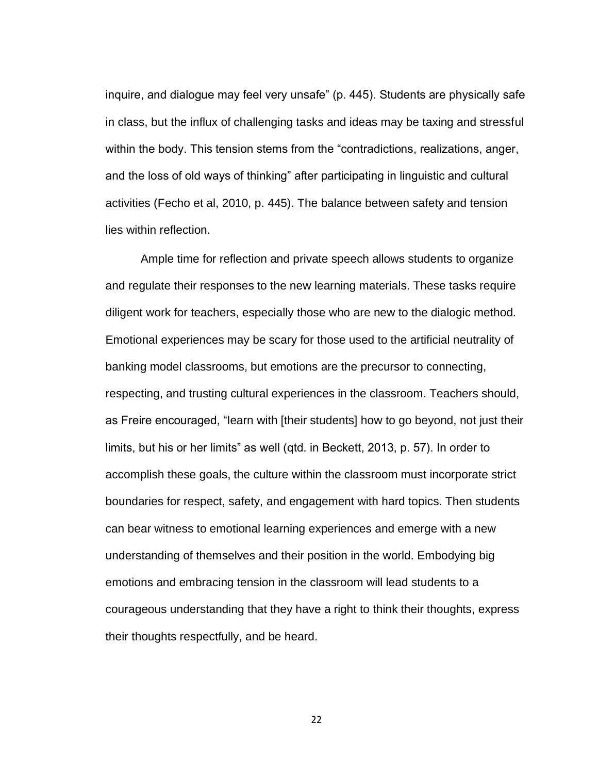inquire, and dialogue may feel very unsafe" (p. 445). Students are physically safe in class, but the influx of challenging tasks and ideas may be taxing and stressful within the body. This tension stems from the "contradictions, realizations, anger, and the loss of old ways of thinking" after participating in linguistic and cultural activities (Fecho et al, 2010, p. 445). The balance between safety and tension lies within reflection.

Ample time for reflection and private speech allows students to organize and regulate their responses to the new learning materials. These tasks require diligent work for teachers, especially those who are new to the dialogic method. Emotional experiences may be scary for those used to the artificial neutrality of banking model classrooms, but emotions are the precursor to connecting, respecting, and trusting cultural experiences in the classroom. Teachers should, as Freire encouraged, "learn with [their students] how to go beyond, not just their limits, but his or her limits" as well (qtd. in Beckett, 2013, p. 57). In order to accomplish these goals, the culture within the classroom must incorporate strict boundaries for respect, safety, and engagement with hard topics. Then students can bear witness to emotional learning experiences and emerge with a new understanding of themselves and their position in the world. Embodying big emotions and embracing tension in the classroom will lead students to a courageous understanding that they have a right to think their thoughts, express their thoughts respectfully, and be heard.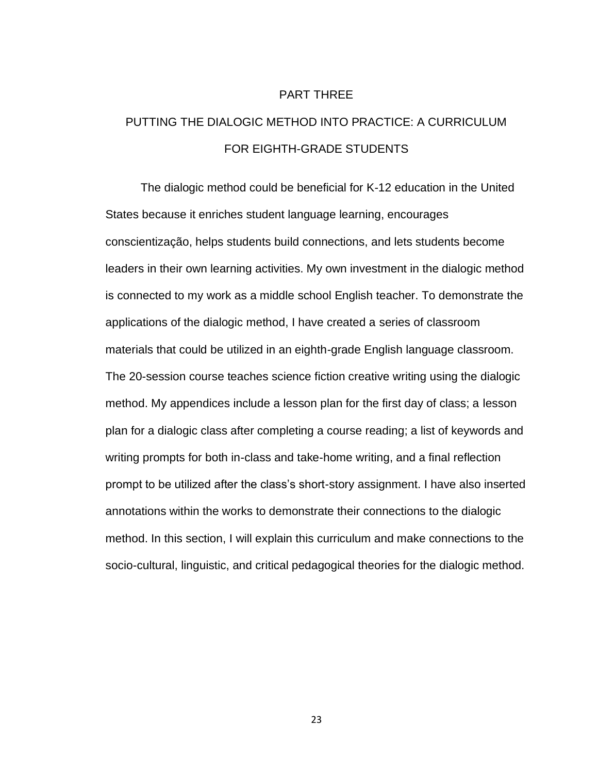#### PART THREE

# <span id="page-31-0"></span>PUTTING THE DIALOGIC METHOD INTO PRACTICE: A CURRICULUM FOR EIGHTH-GRADE STUDENTS

The dialogic method could be beneficial for K-12 education in the United States because it enriches student language learning, encourages conscientização, helps students build connections, and lets students become leaders in their own learning activities. My own investment in the dialogic method is connected to my work as a middle school English teacher. To demonstrate the applications of the dialogic method, I have created a series of classroom materials that could be utilized in an eighth-grade English language classroom. The 20-session course teaches science fiction creative writing using the dialogic method. My appendices include a lesson plan for the first day of class; a lesson plan for a dialogic class after completing a course reading; a list of keywords and writing prompts for both in-class and take-home writing, and a final reflection prompt to be utilized after the class's short-story assignment. I have also inserted annotations within the works to demonstrate their connections to the dialogic method. In this section, I will explain this curriculum and make connections to the socio-cultural, linguistic, and critical pedagogical theories for the dialogic method.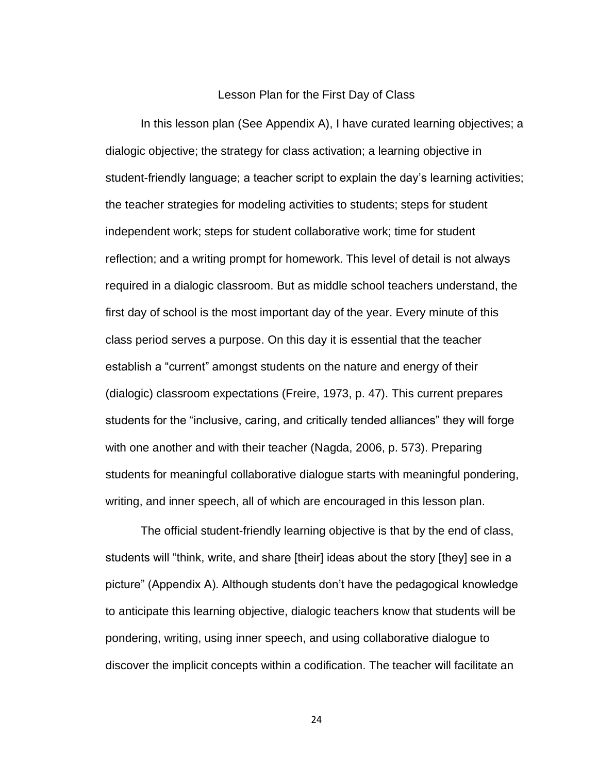#### Lesson Plan for the First Day of Class

<span id="page-32-0"></span>In this lesson plan (See Appendix A), I have curated learning objectives; a dialogic objective; the strategy for class activation; a learning objective in student-friendly language; a teacher script to explain the day's learning activities; the teacher strategies for modeling activities to students; steps for student independent work; steps for student collaborative work; time for student reflection; and a writing prompt for homework. This level of detail is not always required in a dialogic classroom. But as middle school teachers understand, the first day of school is the most important day of the year. Every minute of this class period serves a purpose. On this day it is essential that the teacher establish a "current" amongst students on the nature and energy of their (dialogic) classroom expectations (Freire, 1973, p. 47). This current prepares students for the "inclusive, caring, and critically tended alliances" they will forge with one another and with their teacher (Nagda, 2006, p. 573). Preparing students for meaningful collaborative dialogue starts with meaningful pondering, writing, and inner speech, all of which are encouraged in this lesson plan.

The official student-friendly learning objective is that by the end of class, students will "think, write, and share [their] ideas about the story [they] see in a picture" (Appendix A). Although students don't have the pedagogical knowledge to anticipate this learning objective, dialogic teachers know that students will be pondering, writing, using inner speech, and using collaborative dialogue to discover the implicit concepts within a codification. The teacher will facilitate an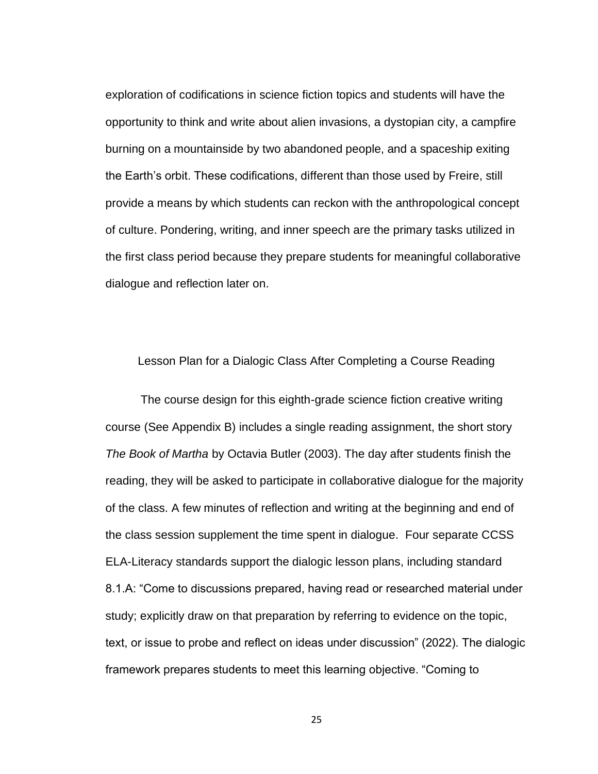exploration of codifications in science fiction topics and students will have the opportunity to think and write about alien invasions, a dystopian city, a campfire burning on a mountainside by two abandoned people, and a spaceship exiting the Earth's orbit. These codifications, different than those used by Freire, still provide a means by which students can reckon with the anthropological concept of culture. Pondering, writing, and inner speech are the primary tasks utilized in the first class period because they prepare students for meaningful collaborative dialogue and reflection later on.

# <span id="page-33-0"></span>Lesson Plan for a Dialogic Class After Completing a Course Reading

The course design for this eighth-grade science fiction creative writing course (See Appendix B) includes a single reading assignment, the short story *The Book of Martha* by Octavia Butler (2003). The day after students finish the reading, they will be asked to participate in collaborative dialogue for the majority of the class. A few minutes of reflection and writing at the beginning and end of the class session supplement the time spent in dialogue. Four separate CCSS ELA-Literacy standards support the dialogic lesson plans, including standard 8.1.A: "Come to discussions prepared, having read or researched material under study; explicitly draw on that preparation by referring to evidence on the topic, text, or issue to probe and reflect on ideas under discussion" (2022). The dialogic framework prepares students to meet this learning objective. "Coming to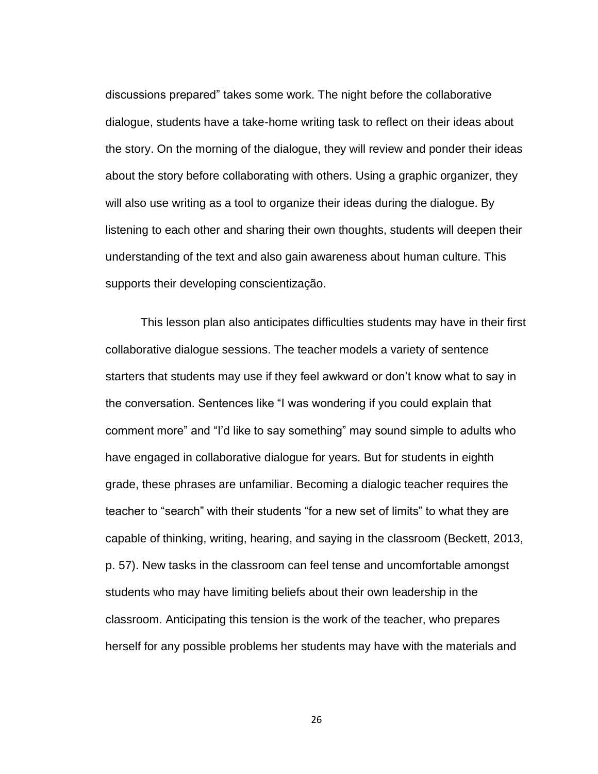discussions prepared" takes some work. The night before the collaborative dialogue, students have a take-home writing task to reflect on their ideas about the story. On the morning of the dialogue, they will review and ponder their ideas about the story before collaborating with others. Using a graphic organizer, they will also use writing as a tool to organize their ideas during the dialogue. By listening to each other and sharing their own thoughts, students will deepen their understanding of the text and also gain awareness about human culture. This supports their developing conscientização.

This lesson plan also anticipates difficulties students may have in their first collaborative dialogue sessions. The teacher models a variety of sentence starters that students may use if they feel awkward or don't know what to say in the conversation. Sentences like "I was wondering if you could explain that comment more" and "I'd like to say something" may sound simple to adults who have engaged in collaborative dialogue for years. But for students in eighth grade, these phrases are unfamiliar. Becoming a dialogic teacher requires the teacher to "search" with their students "for a new set of limits" to what they are capable of thinking, writing, hearing, and saying in the classroom (Beckett, 2013, p. 57). New tasks in the classroom can feel tense and uncomfortable amongst students who may have limiting beliefs about their own leadership in the classroom. Anticipating this tension is the work of the teacher, who prepares herself for any possible problems her students may have with the materials and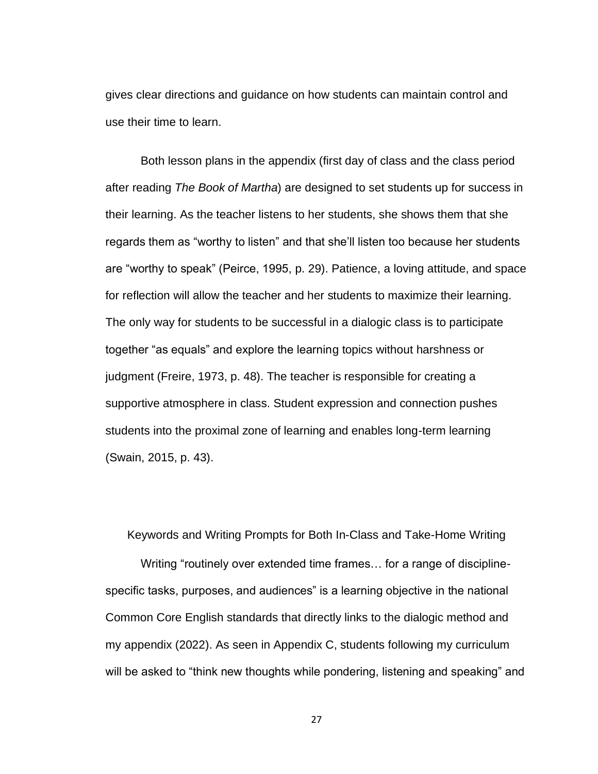gives clear directions and guidance on how students can maintain control and use their time to learn.

Both lesson plans in the appendix (first day of class and the class period after reading *The Book of Martha*) are designed to set students up for success in their learning. As the teacher listens to her students, she shows them that she regards them as "worthy to listen" and that she'll listen too because her students are "worthy to speak" (Peirce, 1995, p. 29). Patience, a loving attitude, and space for reflection will allow the teacher and her students to maximize their learning. The only way for students to be successful in a dialogic class is to participate together "as equals" and explore the learning topics without harshness or judgment (Freire, 1973, p. 48). The teacher is responsible for creating a supportive atmosphere in class. Student expression and connection pushes students into the proximal zone of learning and enables long-term learning (Swain, 2015, p. 43).

<span id="page-35-0"></span>Keywords and Writing Prompts for Both In-Class and Take-Home Writing

Writing "routinely over extended time frames… for a range of disciplinespecific tasks, purposes, and audiences" is a learning objective in the national Common Core English standards that directly links to the dialogic method and my appendix (2022). As seen in Appendix C, students following my curriculum will be asked to "think new thoughts while pondering, listening and speaking" and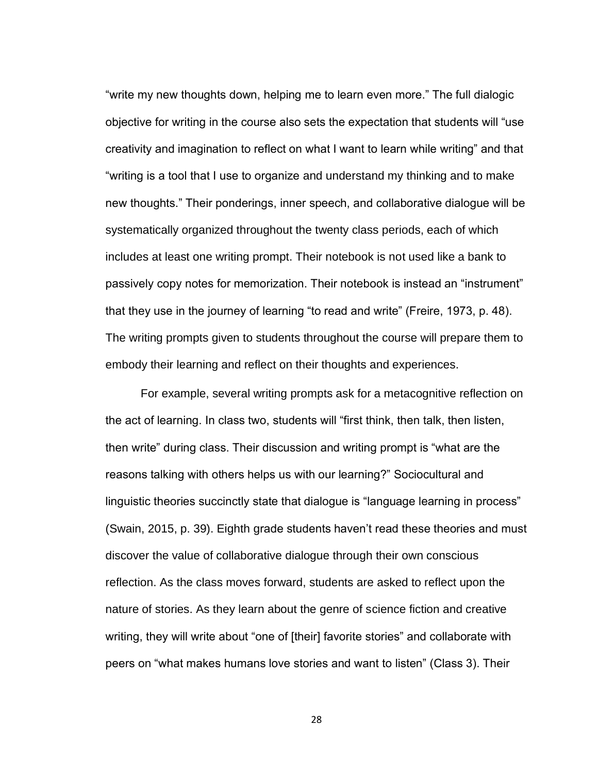"write my new thoughts down, helping me to learn even more." The full dialogic objective for writing in the course also sets the expectation that students will "use creativity and imagination to reflect on what I want to learn while writing" and that "writing is a tool that I use to organize and understand my thinking and to make new thoughts." Their ponderings, inner speech, and collaborative dialogue will be systematically organized throughout the twenty class periods, each of which includes at least one writing prompt. Their notebook is not used like a bank to passively copy notes for memorization. Their notebook is instead an "instrument" that they use in the journey of learning "to read and write" (Freire, 1973, p. 48). The writing prompts given to students throughout the course will prepare them to embody their learning and reflect on their thoughts and experiences.

For example, several writing prompts ask for a metacognitive reflection on the act of learning. In class two, students will "first think, then talk, then listen, then write" during class. Their discussion and writing prompt is "what are the reasons talking with others helps us with our learning?" Sociocultural and linguistic theories succinctly state that dialogue is "language learning in process" (Swain, 2015, p. 39). Eighth grade students haven't read these theories and must discover the value of collaborative dialogue through their own conscious reflection. As the class moves forward, students are asked to reflect upon the nature of stories. As they learn about the genre of science fiction and creative writing, they will write about "one of [their] favorite stories" and collaborate with peers on "what makes humans love stories and want to listen" (Class 3). Their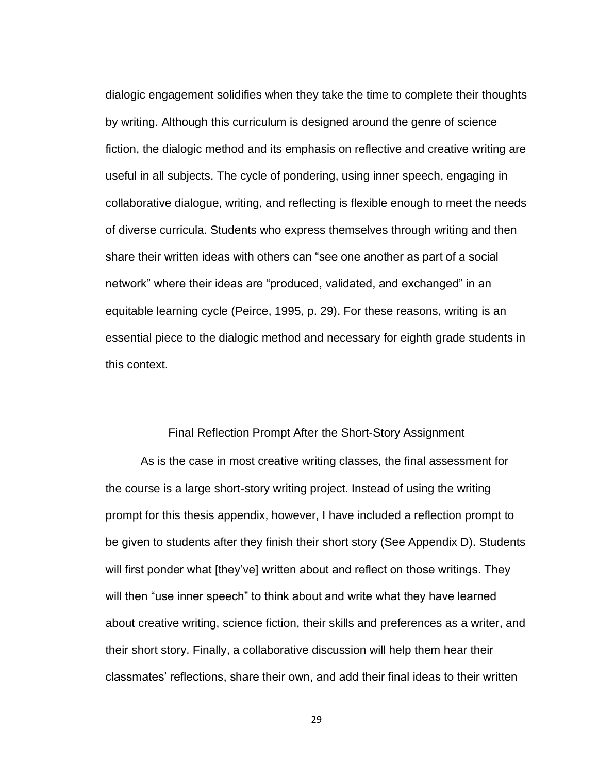dialogic engagement solidifies when they take the time to complete their thoughts by writing. Although this curriculum is designed around the genre of science fiction, the dialogic method and its emphasis on reflective and creative writing are useful in all subjects. The cycle of pondering, using inner speech, engaging in collaborative dialogue, writing, and reflecting is flexible enough to meet the needs of diverse curricula. Students who express themselves through writing and then share their written ideas with others can "see one another as part of a social network" where their ideas are "produced, validated, and exchanged" in an equitable learning cycle (Peirce, 1995, p. 29). For these reasons, writing is an essential piece to the dialogic method and necessary for eighth grade students in this context.

#### Final Reflection Prompt After the Short-Story Assignment

As is the case in most creative writing classes, the final assessment for the course is a large short-story writing project. Instead of using the writing prompt for this thesis appendix, however, I have included a reflection prompt to be given to students after they finish their short story (See Appendix D). Students will first ponder what [they've] written about and reflect on those writings. They will then "use inner speech" to think about and write what they have learned about creative writing, science fiction, their skills and preferences as a writer, and their short story. Finally, a collaborative discussion will help them hear their classmates' reflections, share their own, and add their final ideas to their written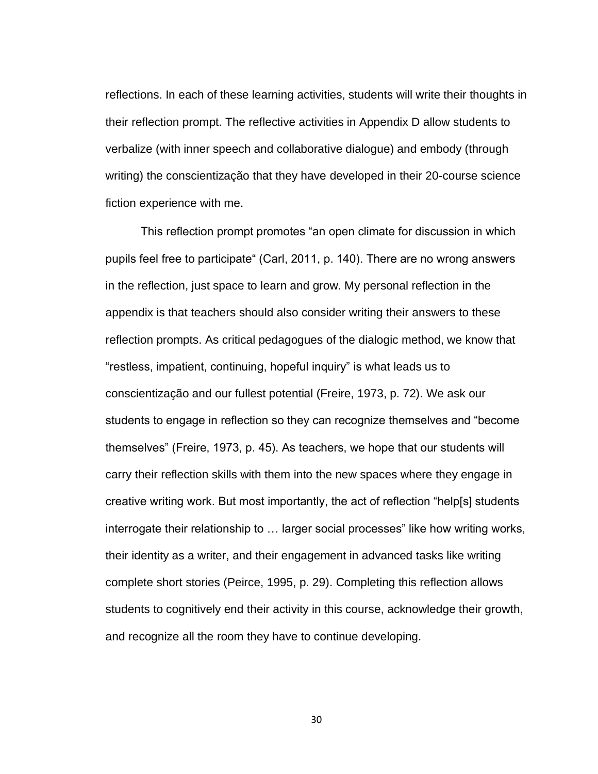reflections. In each of these learning activities, students will write their thoughts in their reflection prompt. The reflective activities in Appendix D allow students to verbalize (with inner speech and collaborative dialogue) and embody (through writing) the conscientização that they have developed in their 20-course science fiction experience with me.

This reflection prompt promotes "an open climate for discussion in which pupils feel free to participate" (Carl, 2011, p. 140). There are no wrong answers in the reflection, just space to learn and grow. My personal reflection in the appendix is that teachers should also consider writing their answers to these reflection prompts. As critical pedagogues of the dialogic method, we know that "restless, impatient, continuing, hopeful inquiry" is what leads us to conscientização and our fullest potential (Freire, 1973, p. 72). We ask our students to engage in reflection so they can recognize themselves and "become themselves" (Freire, 1973, p. 45). As teachers, we hope that our students will carry their reflection skills with them into the new spaces where they engage in creative writing work. But most importantly, the act of reflection "help[s] students interrogate their relationship to … larger social processes" like how writing works, their identity as a writer, and their engagement in advanced tasks like writing complete short stories (Peirce, 1995, p. 29). Completing this reflection allows students to cognitively end their activity in this course, acknowledge their growth, and recognize all the room they have to continue developing.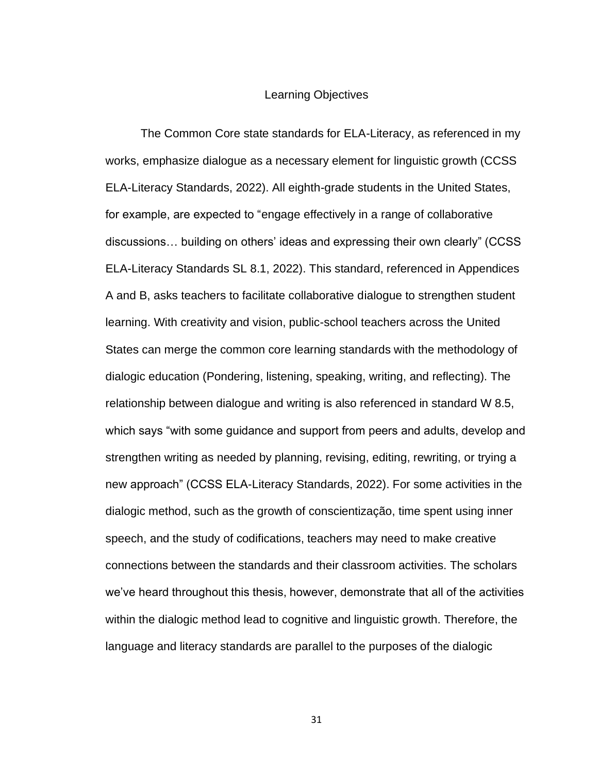#### Learning Objectives

The Common Core state standards for ELA-Literacy, as referenced in my works, emphasize dialogue as a necessary element for linguistic growth (CCSS ELA-Literacy Standards, 2022). All eighth-grade students in the United States, for example, are expected to "engage effectively in a range of collaborative discussions… building on others' ideas and expressing their own clearly" (CCSS ELA-Literacy Standards SL 8.1, 2022). This standard, referenced in Appendices A and B, asks teachers to facilitate collaborative dialogue to strengthen student learning. With creativity and vision, public-school teachers across the United States can merge the common core learning standards with the methodology of dialogic education (Pondering, listening, speaking, writing, and reflecting). The relationship between dialogue and writing is also referenced in standard W 8.5, which says "with some guidance and support from peers and adults, develop and strengthen writing as needed by planning, revising, editing, rewriting, or trying a new approach" (CCSS ELA-Literacy Standards, 2022). For some activities in the dialogic method, such as the growth of conscientização, time spent using inner speech, and the study of codifications, teachers may need to make creative connections between the standards and their classroom activities. The scholars we've heard throughout this thesis, however, demonstrate that all of the activities within the dialogic method lead to cognitive and linguistic growth. Therefore, the language and literacy standards are parallel to the purposes of the dialogic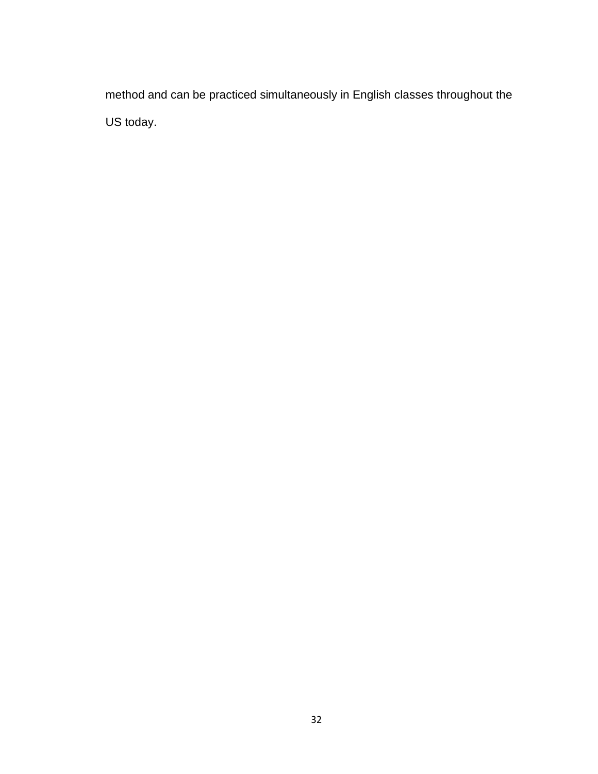method and can be practiced simultaneously in English classes throughout the US today.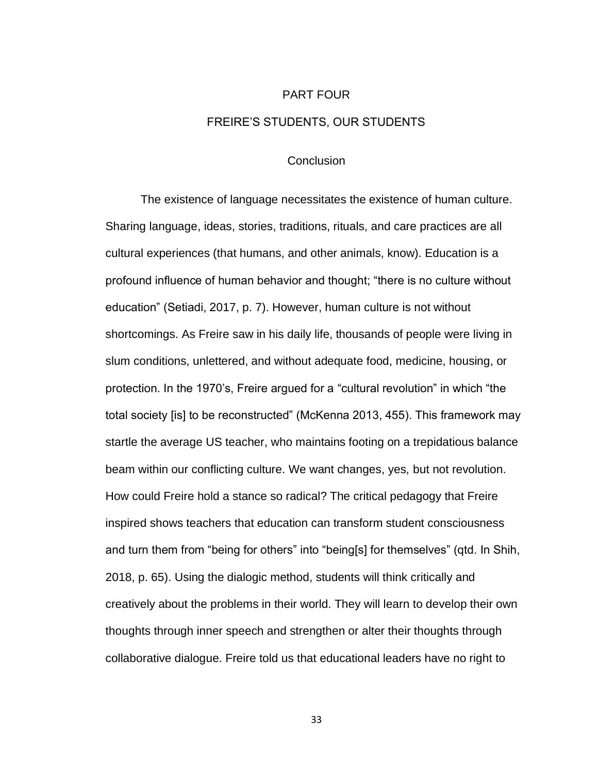# PART FOUR FREIRE'S STUDENTS, OUR STUDENTS

#### **Conclusion**

The existence of language necessitates the existence of human culture. Sharing language, ideas, stories, traditions, rituals, and care practices are all cultural experiences (that humans, and other animals, know). Education is a profound influence of human behavior and thought; "there is no culture without education" (Setiadi, 2017, p. 7). However, human culture is not without shortcomings. As Freire saw in his daily life, thousands of people were living in slum conditions, unlettered, and without adequate food, medicine, housing, or protection. In the 1970's, Freire argued for a "cultural revolution" in which "the total society [is] to be reconstructed" (McKenna 2013, 455). This framework may startle the average US teacher, who maintains footing on a trepidatious balance beam within our conflicting culture. We want changes, yes, but not revolution. How could Freire hold a stance so radical? The critical pedagogy that Freire inspired shows teachers that education can transform student consciousness and turn them from "being for others" into "being[s] for themselves" (qtd. In Shih, 2018, p. 65). Using the dialogic method, students will think critically and creatively about the problems in their world. They will learn to develop their own thoughts through inner speech and strengthen or alter their thoughts through collaborative dialogue. Freire told us that educational leaders have no right to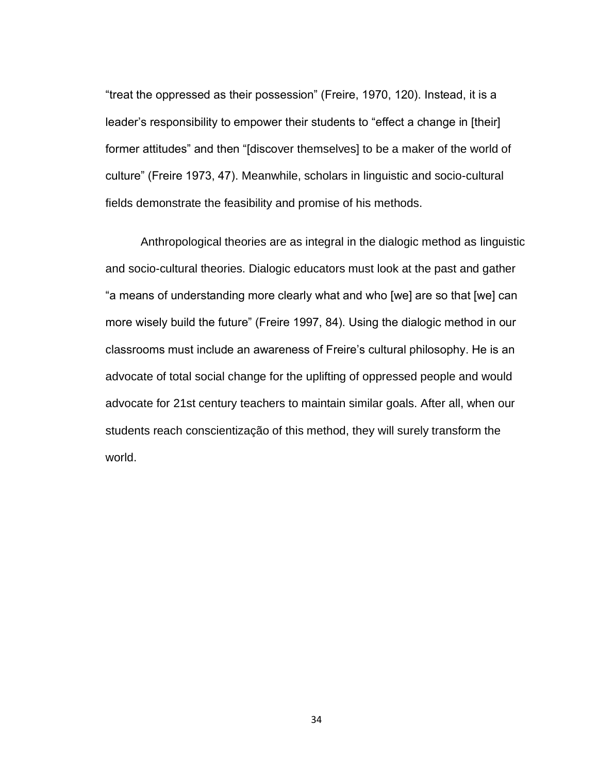"treat the oppressed as their possession" (Freire, 1970, 120). Instead, it is a leader's responsibility to empower their students to "effect a change in [their] former attitudes" and then "[discover themselves] to be a maker of the world of culture" (Freire 1973, 47). Meanwhile, scholars in linguistic and socio-cultural fields demonstrate the feasibility and promise of his methods.

Anthropological theories are as integral in the dialogic method as linguistic and socio-cultural theories. Dialogic educators must look at the past and gather "a means of understanding more clearly what and who [we] are so that [we] can more wisely build the future" (Freire 1997, 84). Using the dialogic method in our classrooms must include an awareness of Freire's cultural philosophy. He is an advocate of total social change for the uplifting of oppressed people and would advocate for 21st century teachers to maintain similar goals. After all, when our students reach conscientização of this method, they will surely transform the world.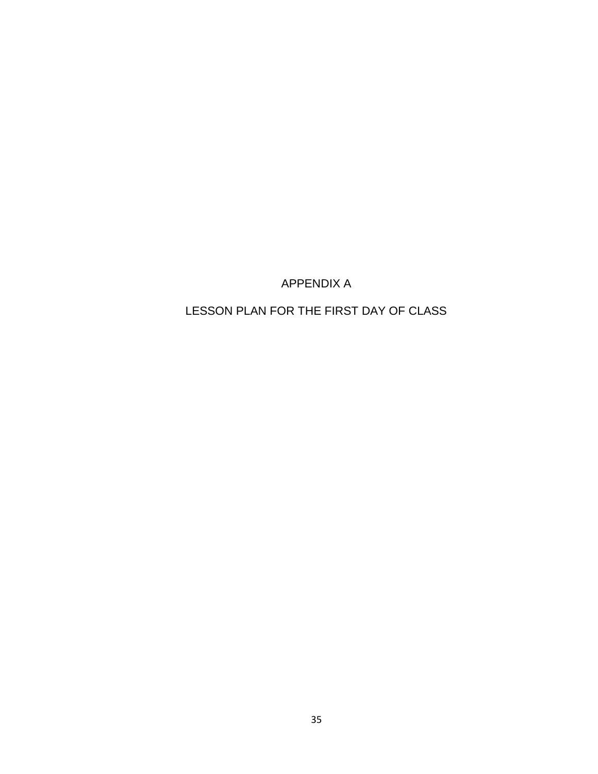APPENDIX A

LESSON PLAN FOR THE FIRST DAY OF CLASS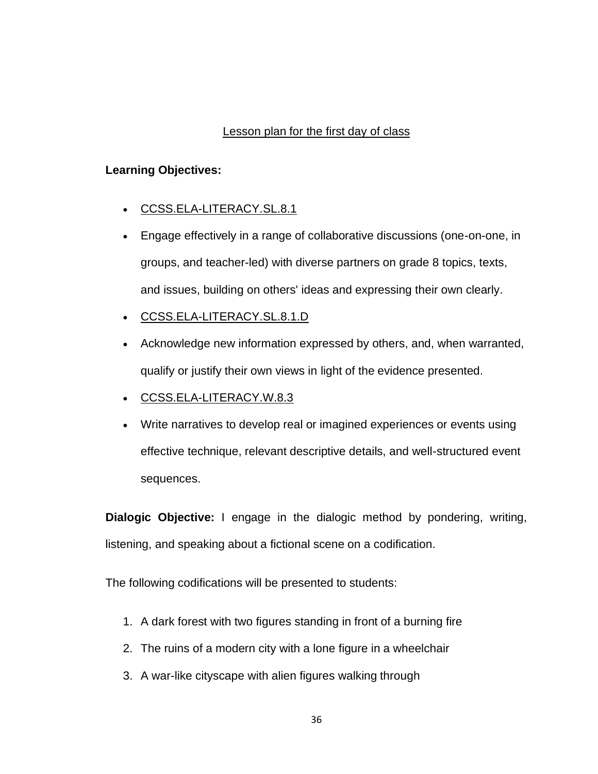## Lesson plan for the first day of class

#### **Learning Objectives:**

- [CCSS.ELA-LITERACY.SL.8.1](http://www.corestandards.org/ELA-Literacy/SL/8/1/)
- Engage effectively in a range of collaborative discussions (one-on-one, in groups, and teacher-led) with diverse partners on grade 8 topics, texts, and issues, building on others' ideas and expressing their own clearly.
- [CCSS.ELA-LITERACY.SL.8.1.D](http://www.corestandards.org/ELA-Literacy/SL/8/1/d/)
- Acknowledge new information expressed by others, and, when warranted, qualify or justify their own views in light of the evidence presented.
- [CCSS.ELA-LITERACY.W.8.3](http://www.corestandards.org/ELA-Literacy/W/8/3/)
- Write narratives to develop real or imagined experiences or events using effective technique, relevant descriptive details, and well-structured event sequences.

**Dialogic Objective:** I engage in the dialogic method by pondering, writing, listening, and speaking about a fictional scene on a codification.

The following codifications will be presented to students:

- 1. A dark forest with two figures standing in front of a burning fire
- 2. The ruins of a modern city with a lone figure in a wheelchair
- 3. A war-like cityscape with alien figures walking through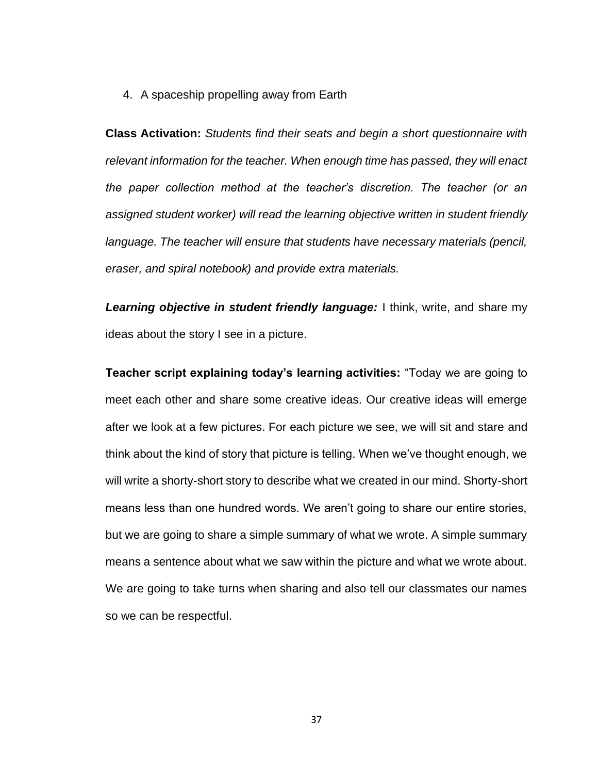4. A spaceship propelling away from Earth

**Class Activation:** *Students find their seats and begin a short questionnaire with relevant information for the teacher. When enough time has passed, they will enact the paper collection method at the teacher's discretion. The teacher (or an assigned student worker) will read the learning objective written in student friendly language. The teacher will ensure that students have necessary materials (pencil, eraser, and spiral notebook) and provide extra materials.*

**Learning objective in student friendly language:** I think, write, and share my ideas about the story I see in a picture.

**Teacher script explaining today's learning activities:** "Today we are going to meet each other and share some creative ideas. Our creative ideas will emerge after we look at a few pictures. For each picture we see, we will sit and stare and think about the kind of story that picture is telling. When we've thought enough, we will write a shorty-short story to describe what we created in our mind. Shorty-short means less than one hundred words. We aren't going to share our entire stories, but we are going to share a simple summary of what we wrote. A simple summary means a sentence about what we saw within the picture and what we wrote about. We are going to take turns when sharing and also tell our classmates our names so we can be respectful.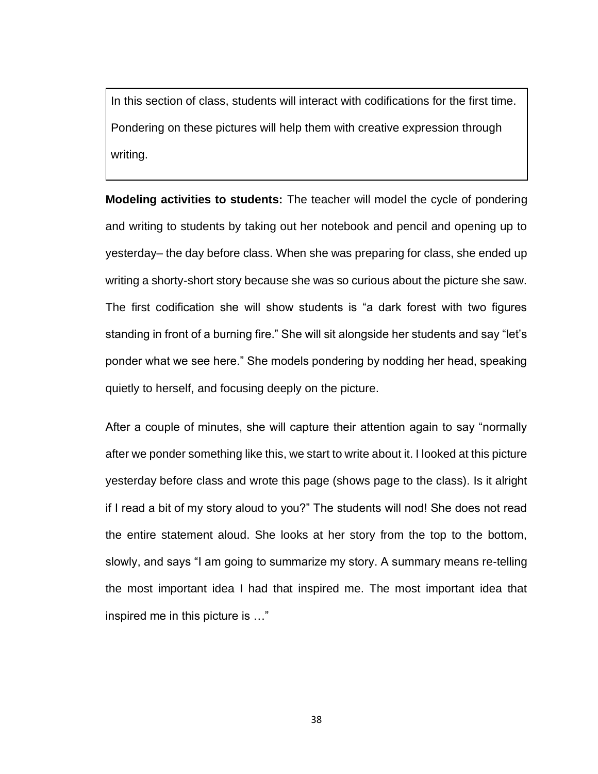In this section of class, students will interact with codifications for the first time. Pondering on these pictures will help them with creative expression through writing.

**Modeling activities to students:** The teacher will model the cycle of pondering and writing to students by taking out her notebook and pencil and opening up to yesterday– the day before class. When she was preparing for class, she ended up writing a shorty-short story because she was so curious about the picture she saw. The first codification she will show students is "a dark forest with two figures standing in front of a burning fire." She will sit alongside her students and say "let's ponder what we see here." She models pondering by nodding her head, speaking quietly to herself, and focusing deeply on the picture.

After a couple of minutes, she will capture their attention again to say "normally after we ponder something like this, we start to write about it. I looked at this picture yesterday before class and wrote this page (shows page to the class). Is it alright if I read a bit of my story aloud to you?" The students will nod! She does not read the entire statement aloud. She looks at her story from the top to the bottom, slowly, and says "I am going to summarize my story. A summary means re-telling the most important idea I had that inspired me. The most important idea that inspired me in this picture is …"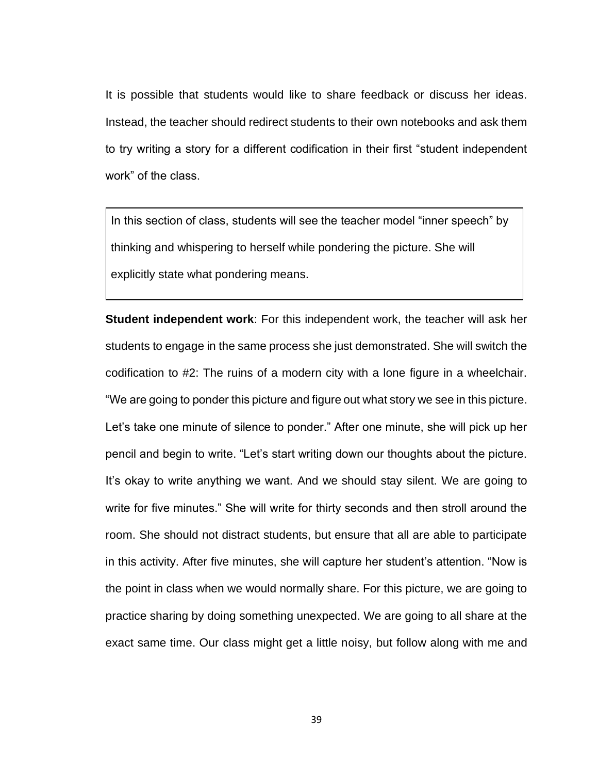It is possible that students would like to share feedback or discuss her ideas. Instead, the teacher should redirect students to their own notebooks and ask them to try writing a story for a different codification in their first "student independent work" of the class.

In this section of class, students will see the teacher model "inner speech" by thinking and whispering to herself while pondering the picture. She will explicitly state what pondering means.

**Student independent work**: For this independent work, the teacher will ask her students to engage in the same process she just demonstrated. She will switch the codification to #2: The ruins of a modern city with a lone figure in a wheelchair. "We are going to ponder this picture and figure out what story we see in this picture. Let's take one minute of silence to ponder." After one minute, she will pick up her pencil and begin to write. "Let's start writing down our thoughts about the picture. It's okay to write anything we want. And we should stay silent. We are going to write for five minutes." She will write for thirty seconds and then stroll around the room. She should not distract students, but ensure that all are able to participate in this activity. After five minutes, she will capture her student's attention. "Now is the point in class when we would normally share. For this picture, we are going to practice sharing by doing something unexpected. We are going to all share at the exact same time. Our class might get a little noisy, but follow along with me and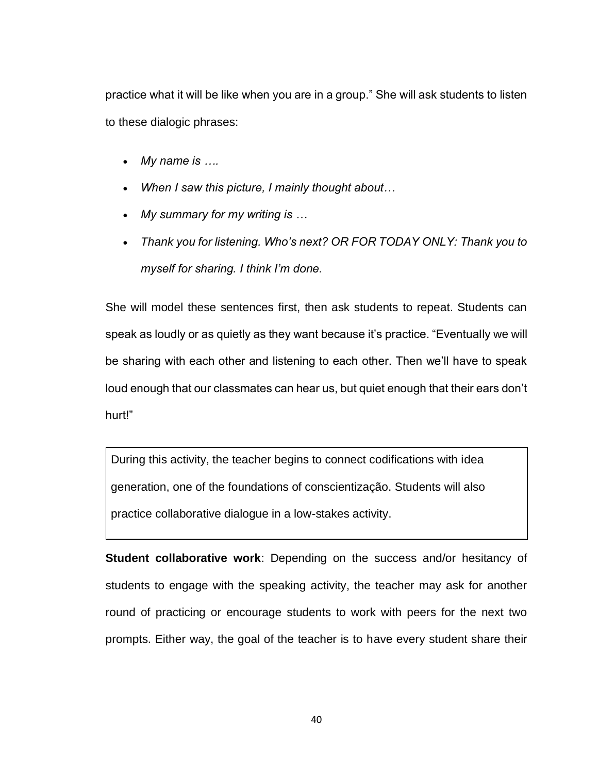practice what it will be like when you are in a group." She will ask students to listen to these dialogic phrases:

- *My name is ….*
- *When I saw this picture, I mainly thought about…*
- *My summary for my writing is …*
- *Thank you for listening. Who's next? OR FOR TODAY ONLY: Thank you to myself for sharing. I think I'm done.*

She will model these sentences first, then ask students to repeat. Students can speak as loudly or as quietly as they want because it's practice. "Eventually we will be sharing with each other and listening to each other. Then we'll have to speak loud enough that our classmates can hear us, but quiet enough that their ears don't hurt!"

During this activity, the teacher begins to connect codifications with idea generation, one of the foundations of conscientização. Students will also practice collaborative dialogue in a low-stakes activity.

**Student collaborative work**: Depending on the success and/or hesitancy of students to engage with the speaking activity, the teacher may ask for another round of practicing or encourage students to work with peers for the next two prompts. Either way, the goal of the teacher is to have every student share their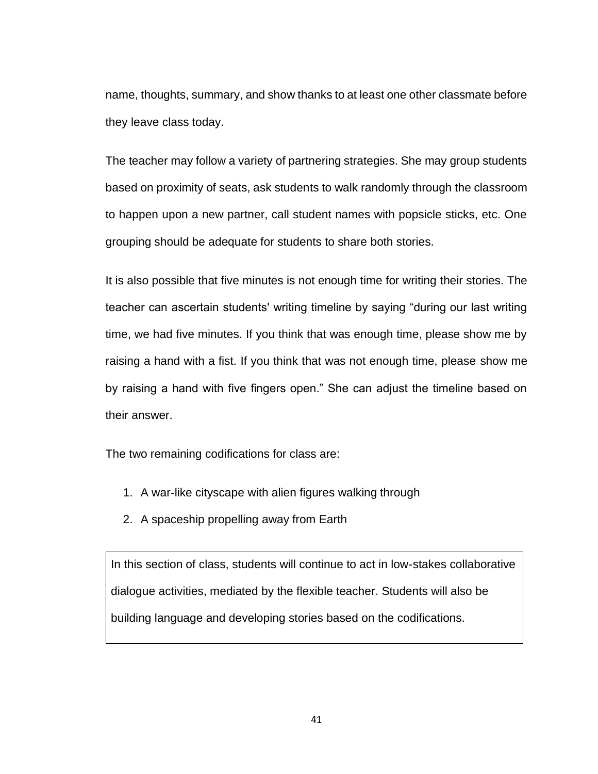name, thoughts, summary, and show thanks to at least one other classmate before they leave class today.

The teacher may follow a variety of partnering strategies. She may group students based on proximity of seats, ask students to walk randomly through the classroom to happen upon a new partner, call student names with popsicle sticks, etc. One grouping should be adequate for students to share both stories.

It is also possible that five minutes is not enough time for writing their stories. The teacher can ascertain students' writing timeline by saying "during our last writing time, we had five minutes. If you think that was enough time, please show me by raising a hand with a fist. If you think that was not enough time, please show me by raising a hand with five fingers open." She can adjust the timeline based on their answer.

The two remaining codifications for class are:

- 1. A war-like cityscape with alien figures walking through
- 2. A spaceship propelling away from Earth

In this section of class, students will continue to act in low-stakes collaborative dialogue activities, mediated by the flexible teacher. Students will also be building language and developing stories based on the codifications.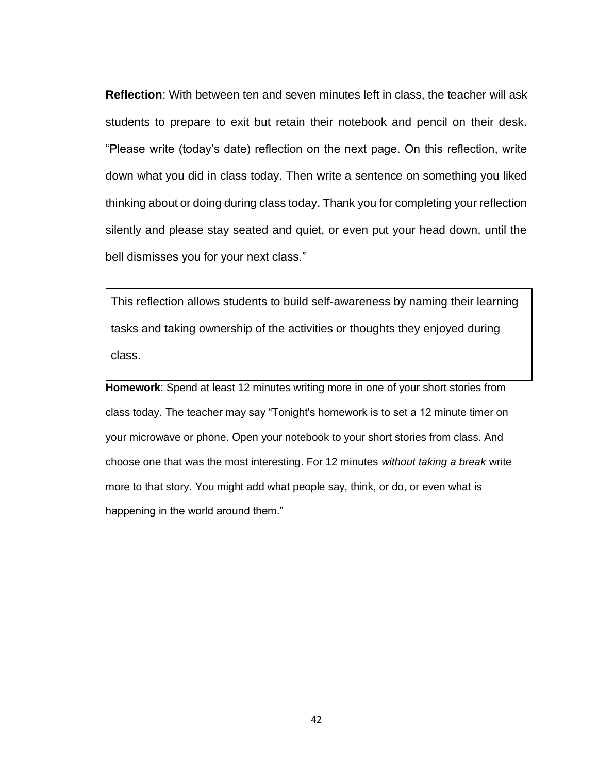**Reflection**: With between ten and seven minutes left in class, the teacher will ask students to prepare to exit but retain their notebook and pencil on their desk. "Please write (today's date) reflection on the next page. On this reflection, write down what you did in class today. Then write a sentence on something you liked thinking about or doing during class today. Thank you for completing your reflection silently and please stay seated and quiet, or even put your head down, until the bell dismisses you for your next class."

This reflection allows students to build self-awareness by naming their learning tasks and taking ownership of the activities or thoughts they enjoyed during class.

**Homework**: Spend at least 12 minutes writing more in one of your short stories from class today. The teacher may say "Tonight's homework is to set a 12 minute timer on your microwave or phone. Open your notebook to your short stories from class. And choose one that was the most interesting. For 12 minutes *without taking a break* write more to that story. You might add what people say, think, or do, or even what is happening in the world around them."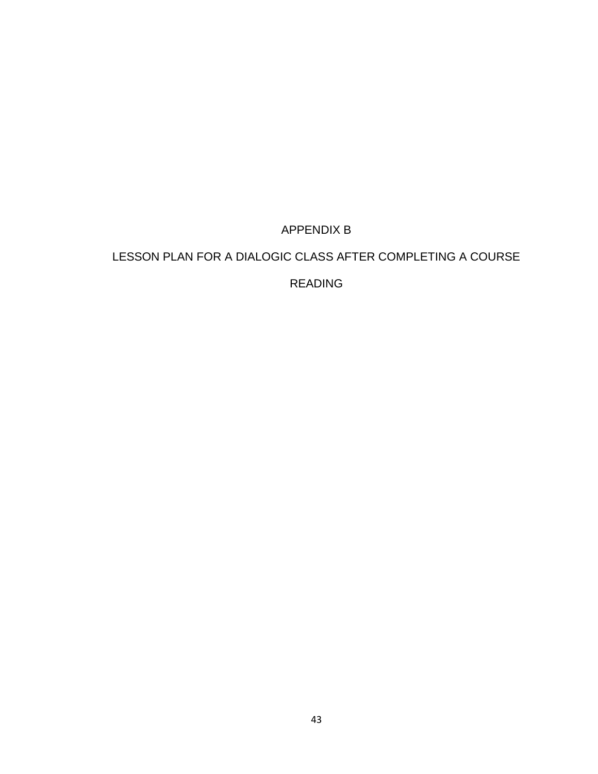APPENDIX B

# LESSON PLAN FOR A DIALOGIC CLASS AFTER COMPLETING A COURSE

# READING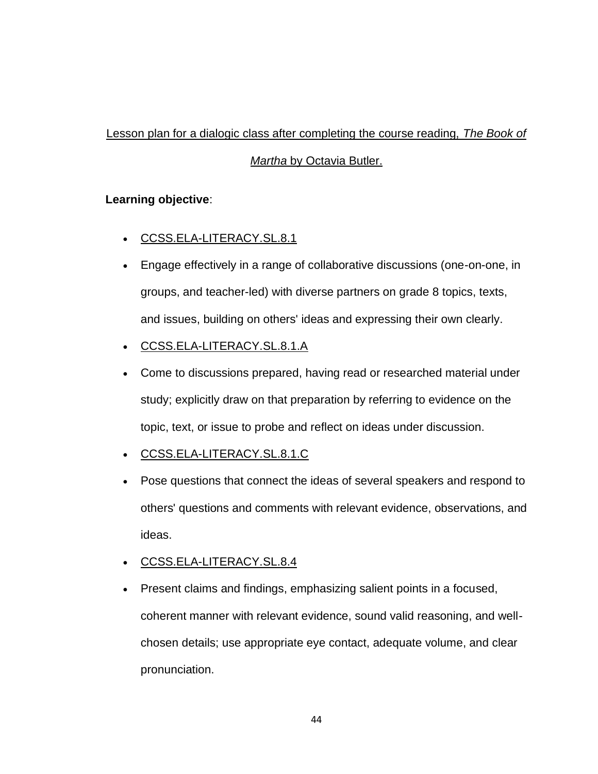# Lesson plan for a dialogic class after completing the course reading, *The Book of*

## *Martha* by Octavia Butler.

### **Learning objective**:

- [CCSS.ELA-LITERACY.SL.8.1](http://www.corestandards.org/ELA-Literacy/SL/8/1/)
- Engage effectively in a range of collaborative discussions (one-on-one, in groups, and teacher-led) with diverse partners on grade 8 topics, texts, and issues, building on others' ideas and expressing their own clearly.
- [CCSS.ELA-LITERACY.SL.8.1.A](http://www.corestandards.org/ELA-Literacy/SL/8/1/a/)
- Come to discussions prepared, having read or researched material under study; explicitly draw on that preparation by referring to evidence on the topic, text, or issue to probe and reflect on ideas under discussion.
- [CCSS.ELA-LITERACY.SL.8.1.C](http://www.corestandards.org/ELA-Literacy/SL/8/1/c/)
- Pose questions that connect the ideas of several speakers and respond to others' questions and comments with relevant evidence, observations, and ideas.
- [CCSS.ELA-LITERACY.SL.8.4](http://www.corestandards.org/ELA-Literacy/SL/8/4/)
- Present claims and findings, emphasizing salient points in a focused, coherent manner with relevant evidence, sound valid reasoning, and wellchosen details; use appropriate eye contact, adequate volume, and clear pronunciation.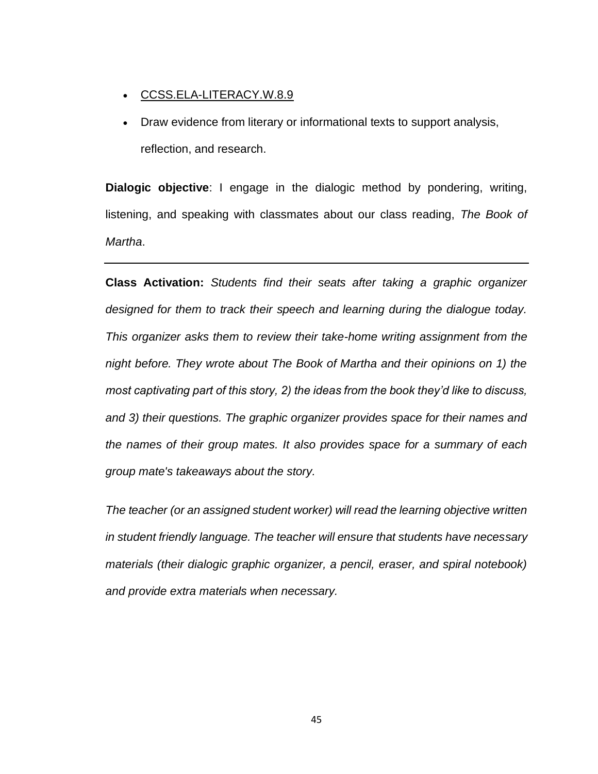- [CCSS.ELA-LITERACY.W.8.9](http://www.corestandards.org/ELA-Literacy/W/8/9/)
- Draw evidence from literary or informational texts to support analysis, reflection, and research.

**Dialogic objective**: I engage in the dialogic method by pondering, writing, listening, and speaking with classmates about our class reading, *The Book of Martha*.

**Class Activation:** *Students find their seats after taking a graphic organizer designed for them to track their speech and learning during the dialogue today. This organizer asks them to review their take-home writing assignment from the night before. They wrote about The Book of Martha and their opinions on 1) the most captivating part of this story, 2) the ideas from the book they'd like to discuss, and 3) their questions. The graphic organizer provides space for their names and the names of their group mates. It also provides space for a summary of each group mate's takeaways about the story.*

*The teacher (or an assigned student worker) will read the learning objective written in student friendly language. The teacher will ensure that students have necessary materials (their dialogic graphic organizer, a pencil, eraser, and spiral notebook) and provide extra materials when necessary.*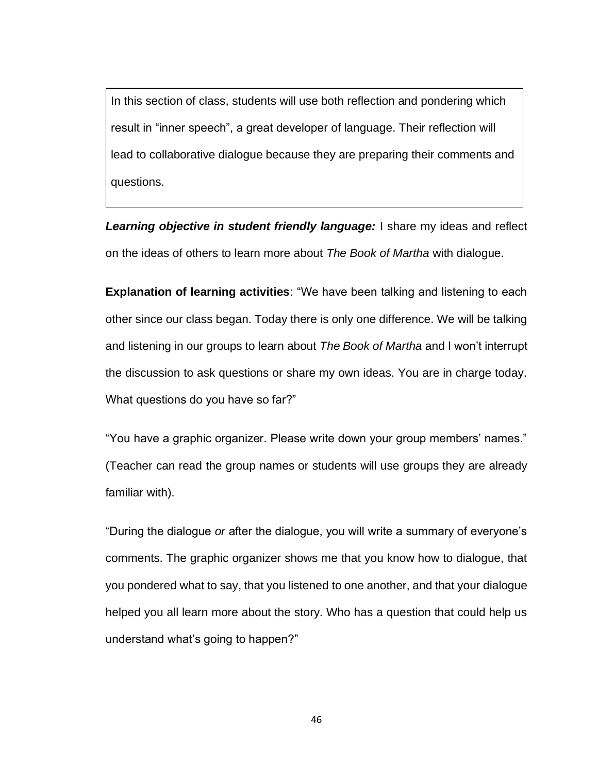In this section of class, students will use both reflection and pondering which result in "inner speech", a great developer of language. Their reflection will lead to collaborative dialogue because they are preparing their comments and questions.

**Learning objective in student friendly language:** I share my ideas and reflect on the ideas of others to learn more about *The Book of Martha* with dialogue.

**Explanation of learning activities**: "We have been talking and listening to each other since our class began. Today there is only one difference. We will be talking and listening in our groups to learn about *The Book of Martha* and I won't interrupt the discussion to ask questions or share my own ideas. You are in charge today. What questions do you have so far?"

"You have a graphic organizer. Please write down your group members' names." (Teacher can read the group names or students will use groups they are already familiar with).

"During the dialogue *or* after the dialogue, you will write a summary of everyone's comments. The graphic organizer shows me that you know how to dialogue, that you pondered what to say, that you listened to one another, and that your dialogue helped you all learn more about the story. Who has a question that could help us understand what's going to happen?"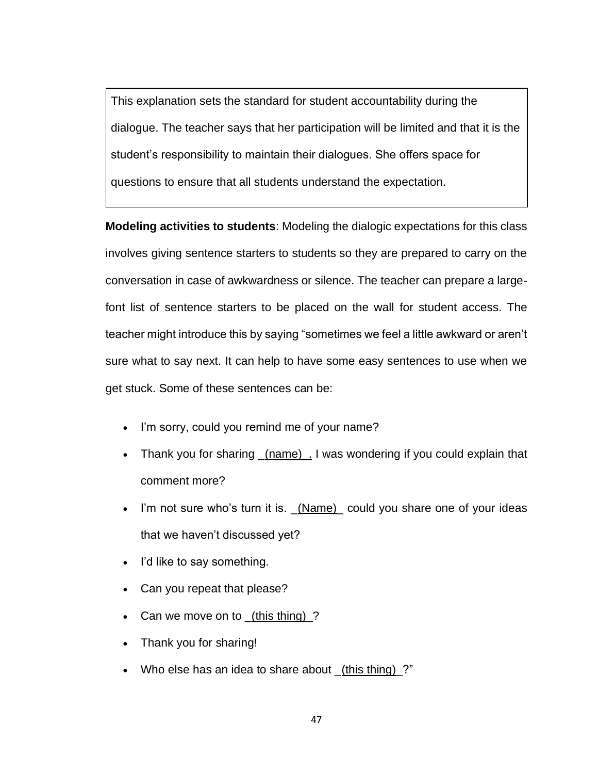This explanation sets the standard for student accountability during the dialogue. The teacher says that her participation will be limited and that it is the student's responsibility to maintain their dialogues. She offers space for questions to ensure that all students understand the expectation.

**Modeling activities to students**: Modeling the dialogic expectations for this class involves giving sentence starters to students so they are prepared to carry on the conversation in case of awkwardness or silence. The teacher can prepare a largefont list of sentence starters to be placed on the wall for student access. The teacher might introduce this by saying "sometimes we feel a little awkward or aren't sure what to say next. It can help to have some easy sentences to use when we get stuck. Some of these sentences can be:

- I'm sorry, could you remind me of your name?
- Thank you for sharing <u>(name)</u> . I was wondering if you could explain that comment more?
- I'm not sure who's turn it is. (Name) could you share one of your ideas that we haven't discussed yet?
- I'd like to say something.
- Can you repeat that please?
- Can we move on to  $(t)$  this thing) ?
- Thank you for sharing!
- Who else has an idea to share about (this thing)?"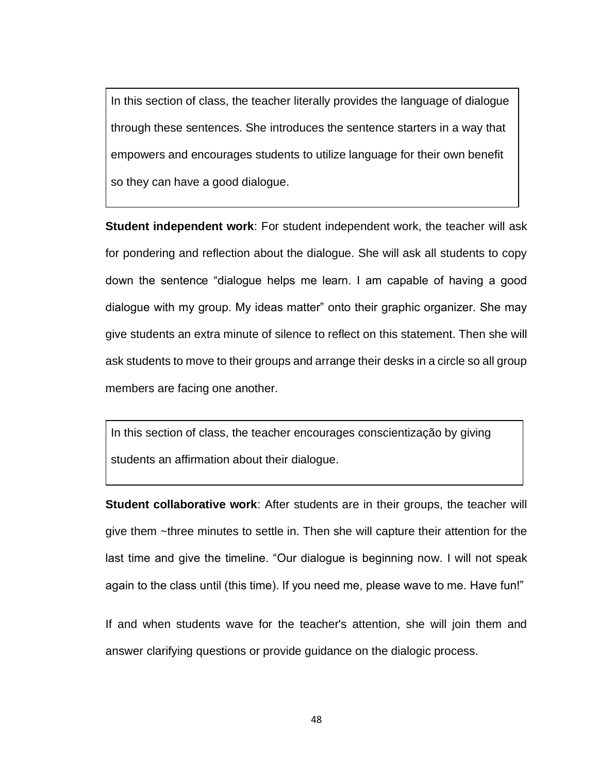In this section of class, the teacher literally provides the language of dialogue through these sentences. She introduces the sentence starters in a way that empowers and encourages students to utilize language for their own benefit so they can have a good dialogue.

**Student independent work**: For student independent work, the teacher will ask for pondering and reflection about the dialogue. She will ask all students to copy down the sentence "dialogue helps me learn. I am capable of having a good dialogue with my group. My ideas matter" onto their graphic organizer. She may give students an extra minute of silence to reflect on this statement. Then she will ask students to move to their groups and arrange their desks in a circle so all group members are facing one another.

In this section of class, the teacher encourages conscientização by giving students an affirmation about their dialogue.

**Student collaborative work**: After students are in their groups, the teacher will give them ~three minutes to settle in. Then she will capture their attention for the last time and give the timeline. "Our dialogue is beginning now. I will not speak again to the class until (this time). If you need me, please wave to me. Have fun!"

If and when students wave for the teacher's attention, she will join them and answer clarifying questions or provide guidance on the dialogic process.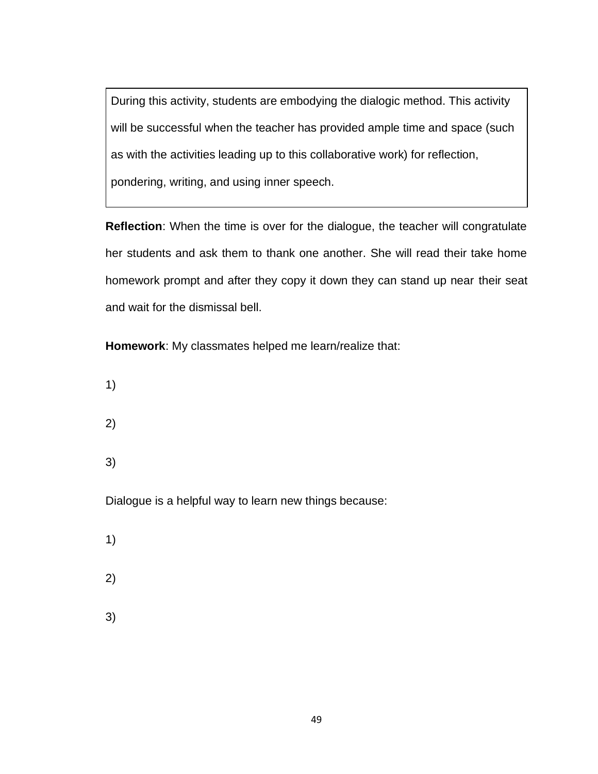During this activity, students are embodying the dialogic method. This activity will be successful when the teacher has provided ample time and space (such as with the activities leading up to this collaborative work) for reflection, pondering, writing, and using inner speech.

**Reflection**: When the time is over for the dialogue, the teacher will congratulate her students and ask them to thank one another. She will read their take home homework prompt and after they copy it down they can stand up near their seat and wait for the dismissal bell.

**Homework**: My classmates helped me learn/realize that:

- 1)
- 2)
- 3)

Dialogue is a helpful way to learn new things because:

- 1) 2)
- 3)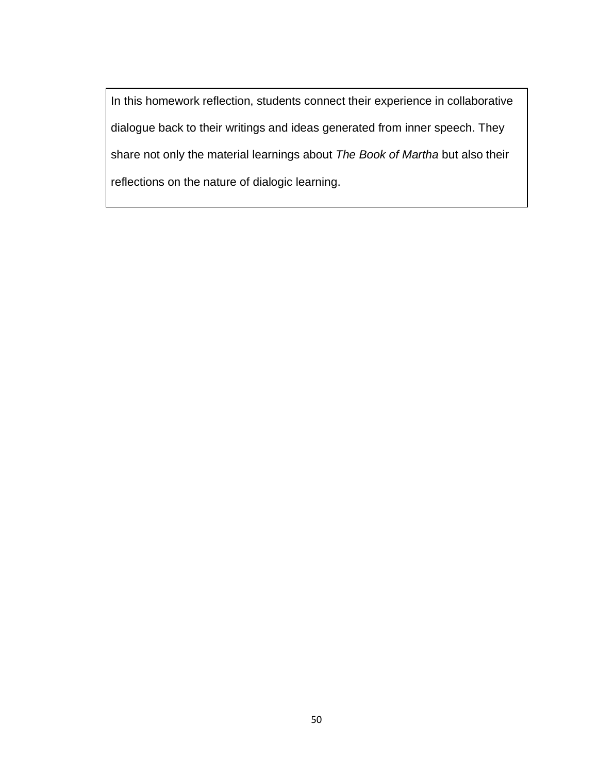In this homework reflection, students connect their experience in collaborative dialogue back to their writings and ideas generated from inner speech. They share not only the material learnings about *The Book of Martha* but also their reflections on the nature of dialogic learning.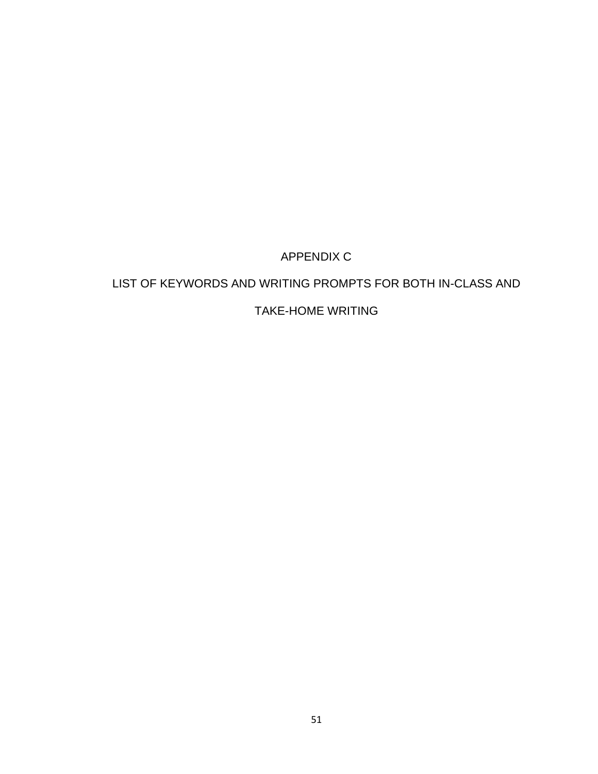# APPENDIX C

# LIST OF KEYWORDS AND WRITING PROMPTS FOR BOTH IN-CLASS AND

TAKE-HOME WRITING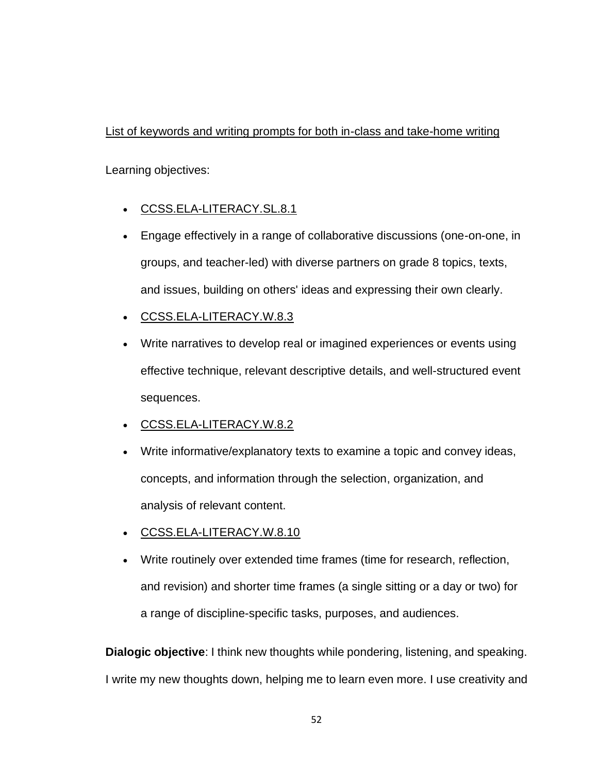## List of keywords and writing prompts for both in-class and take-home writing

Learning objectives:

- [CCSS.ELA-LITERACY.SL.8.1](http://www.corestandards.org/ELA-Literacy/SL/8/1/)
- Engage effectively in a range of collaborative discussions (one-on-one, in groups, and teacher-led) with diverse partners on grade 8 topics, texts, and issues, building on others' ideas and expressing their own clearly.
- [CCSS.ELA-LITERACY.W.8.3](http://www.corestandards.org/ELA-Literacy/W/8/3/)
- Write narratives to develop real or imagined experiences or events using effective technique, relevant descriptive details, and well-structured event sequences.
- [CCSS.ELA-LITERACY.W.8.2](http://www.corestandards.org/ELA-Literacy/W/8/2/)
- Write informative/explanatory texts to examine a topic and convey ideas, concepts, and information through the selection, organization, and analysis of relevant content.
- [CCSS.ELA-LITERACY.W.8.10](http://www.corestandards.org/ELA-Literacy/W/8/10/)
- Write routinely over extended time frames (time for research, reflection, and revision) and shorter time frames (a single sitting or a day or two) for a range of discipline-specific tasks, purposes, and audiences.

**Dialogic objective**: I think new thoughts while pondering, listening, and speaking. I write my new thoughts down, helping me to learn even more. I use creativity and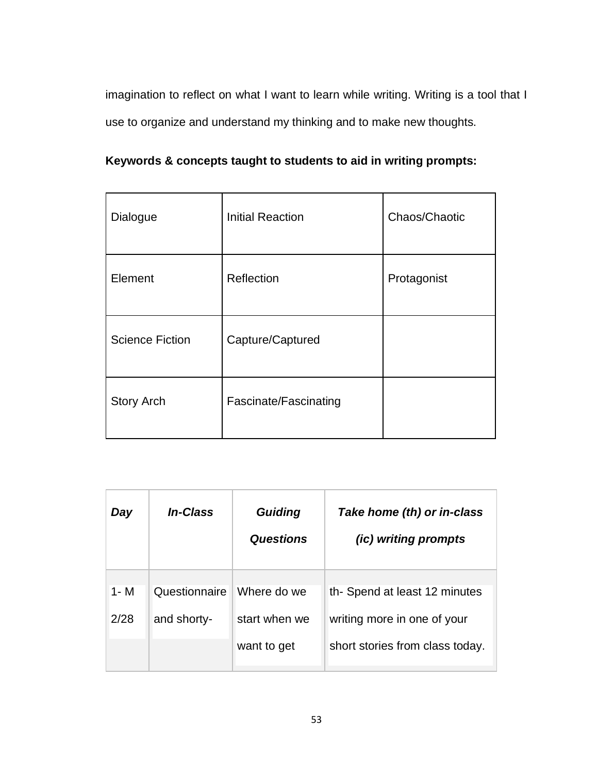imagination to reflect on what I want to learn while writing. Writing is a tool that I use to organize and understand my thinking and to make new thoughts.

| Keywords & concepts taught to students to aid in writing prompts: |  |  |  |  |  |  |  |
|-------------------------------------------------------------------|--|--|--|--|--|--|--|
|-------------------------------------------------------------------|--|--|--|--|--|--|--|

| Dialogue               | <b>Initial Reaction</b> | Chaos/Chaotic |
|------------------------|-------------------------|---------------|
| Element                | Reflection              | Protagonist   |
| <b>Science Fiction</b> | Capture/Captured        |               |
| <b>Story Arch</b>      | Fascinate/Fascinating   |               |

| Day             | <b>In-Class</b>              | <b>Guiding</b><br><b>Questions</b> | Take home (th) or in-class<br><i>(ic)</i> writing prompts   |
|-----------------|------------------------------|------------------------------------|-------------------------------------------------------------|
| $1 - M$<br>2/28 | Questionnaire<br>and shorty- | Where do we<br>start when we       | th-Spend at least 12 minutes<br>writing more in one of your |
|                 |                              | want to get                        | short stories from class today.                             |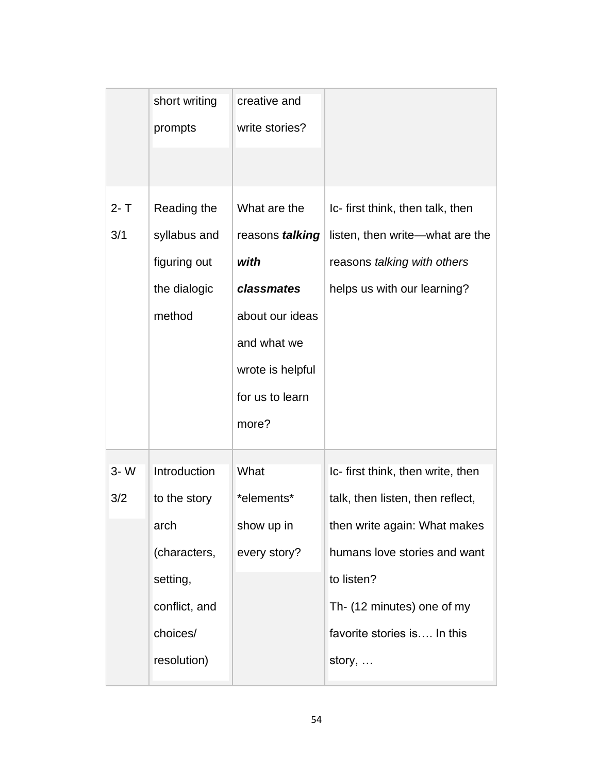|                | short writing<br>prompts                                                                                     | creative and<br>write stories?                                                                                                          |                                                                                                                                                                                                                                    |
|----------------|--------------------------------------------------------------------------------------------------------------|-----------------------------------------------------------------------------------------------------------------------------------------|------------------------------------------------------------------------------------------------------------------------------------------------------------------------------------------------------------------------------------|
| $2 - T$<br>3/1 | Reading the<br>syllabus and<br>figuring out<br>the dialogic<br>method                                        | What are the<br>reasons talking<br>with<br>classmates<br>about our ideas<br>and what we<br>wrote is helpful<br>for us to learn<br>more? | Ic- first think, then talk, then<br>listen, then write—what are the<br>reasons talking with others<br>helps us with our learning?                                                                                                  |
| $3 - W$<br>3/2 | Introduction<br>to the story<br>arch<br>(characters,<br>setting,<br>conflict, and<br>choices/<br>resolution) | What<br>*elements*<br>show up in<br>every story?                                                                                        | Ic- first think, then write, then<br>talk, then listen, then reflect,<br>then write again: What makes<br>humans love stories and want<br>to listen?<br>Th- (12 minutes) one of my<br>favorite stories is In this<br>story, $\dots$ |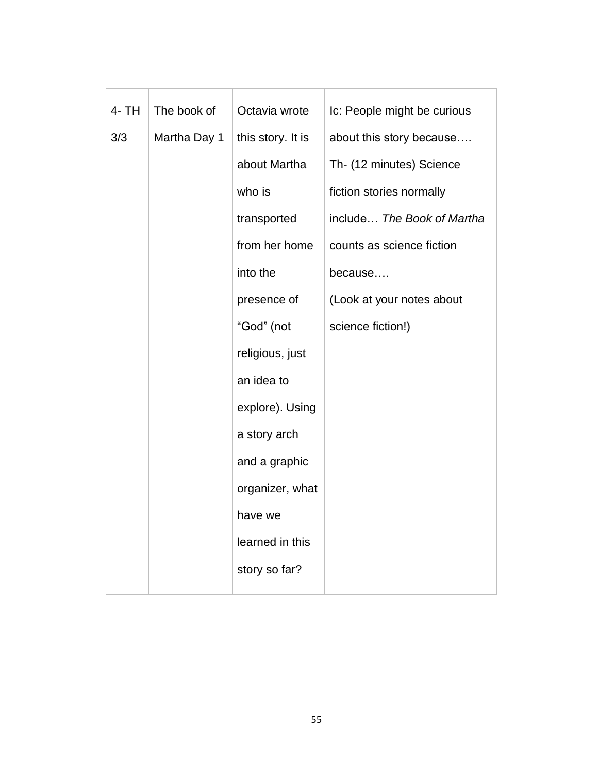| 4- TH | The book of  | Octavia wrote     | Ic: People might be curious |
|-------|--------------|-------------------|-----------------------------|
| 3/3   | Martha Day 1 | this story. It is | about this story because    |
|       |              | about Martha      | Th- (12 minutes) Science    |
|       |              | who is            | fiction stories normally    |
|       |              | transported       | include The Book of Martha  |
|       |              | from her home     | counts as science fiction   |
|       |              | into the          | because                     |
|       |              | presence of       | (Look at your notes about   |
|       |              | "God" (not        | science fiction!)           |
|       |              | religious, just   |                             |
|       |              | an idea to        |                             |
|       |              | explore). Using   |                             |
|       |              | a story arch      |                             |
|       |              | and a graphic     |                             |
|       |              | organizer, what   |                             |
|       |              | have we           |                             |
|       |              | learned in this   |                             |
|       |              | story so far?     |                             |
|       |              |                   |                             |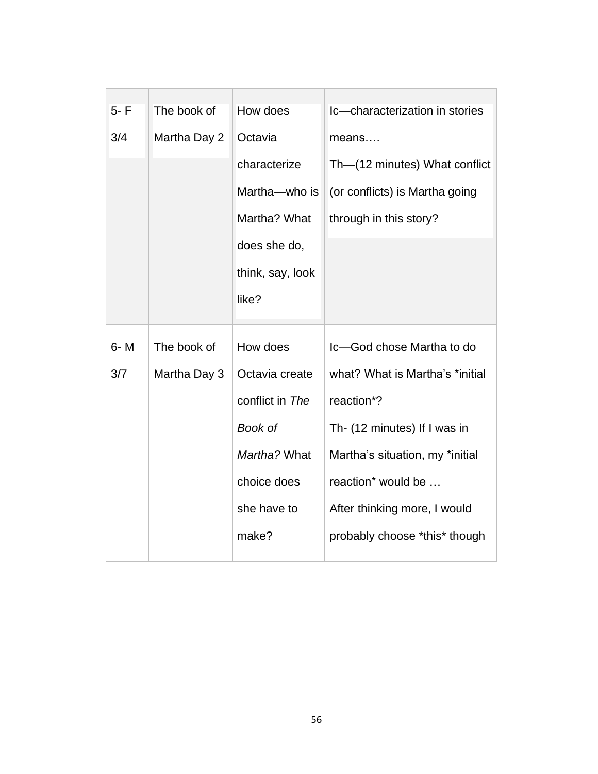| $5-F$   | The book of  | How does         | Ic-characterization in stories  |
|---------|--------------|------------------|---------------------------------|
| 3/4     | Martha Day 2 | Octavia          | means                           |
|         |              | characterize     | Th-(12 minutes) What conflict   |
|         |              | Martha-who is    | (or conflicts) is Martha going  |
|         |              | Martha? What     | through in this story?          |
|         |              | does she do,     |                                 |
|         |              | think, say, look |                                 |
|         |              | like?            |                                 |
|         |              |                  |                                 |
|         |              |                  |                                 |
| $6 - M$ | The book of  | How does         | Ic-God chose Martha to do       |
| 3/7     | Martha Day 3 | Octavia create   | what? What is Martha's *initial |
|         |              | conflict in The  | reaction*?                      |
|         |              | Book of          | Th- (12 minutes) If I was in    |
|         |              | Martha? What     | Martha's situation, my *initial |
|         |              | choice does      | reaction* would be              |
|         |              | she have to      | After thinking more, I would    |
|         |              | make?            | probably choose *this* though   |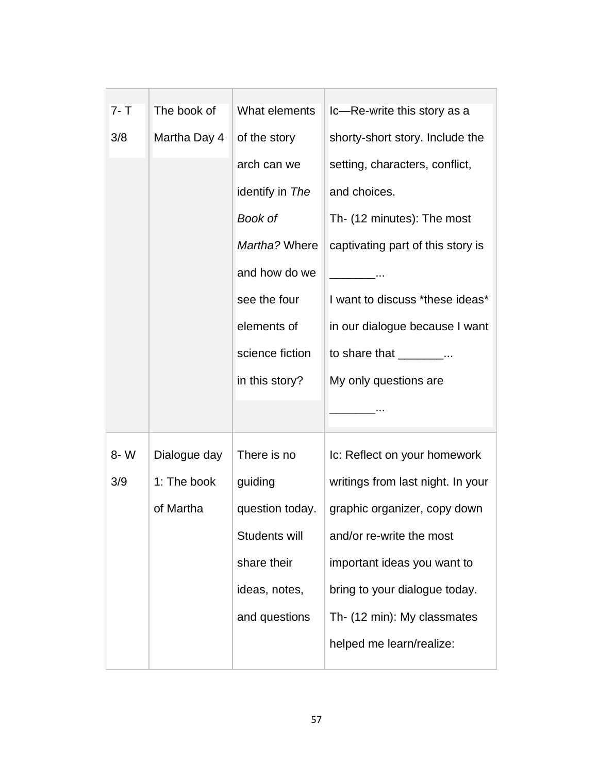| 7- T | The book of  | What elements   | Ic-Re-write this story as a                         |
|------|--------------|-----------------|-----------------------------------------------------|
| 3/8  | Martha Day 4 | of the story    | shorty-short story. Include the                     |
|      |              | arch can we     | setting, characters, conflict,                      |
|      |              | identify in The | and choices.                                        |
|      |              | <b>Book of</b>  | Th- (12 minutes): The most                          |
|      |              | Martha? Where   | captivating part of this story is                   |
|      |              | and how do we   |                                                     |
|      |              | see the four    | I want to discuss *these ideas*                     |
|      |              | elements of     | in our dialogue because I want                      |
|      |              | science fiction | to share that $\frac{1}{\sqrt{1-\frac{1}{2}}}\dots$ |
|      |              | in this story?  | My only questions are                               |
|      |              |                 |                                                     |
| 8- W | Dialogue day | There is no     | Ic: Reflect on your homework                        |
| 3/9  | 1: The book  | guiding         | writings from last night. In your                   |
|      | of Martha    | question today. | graphic organizer, copy down                        |
|      |              | Students will   | and/or re-write the most                            |
|      |              | share their     | important ideas you want to                         |
|      |              | ideas, notes,   | bring to your dialogue today.                       |
|      |              | and questions   | Th- (12 min): My classmates                         |
|      |              |                 | helped me learn/realize:                            |
|      |              |                 |                                                     |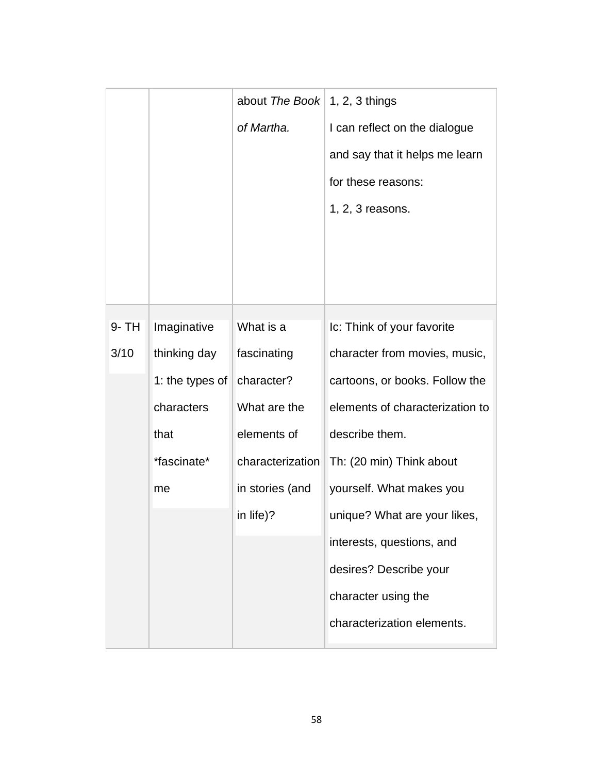|       |                 | about The Book   1, 2, 3 things |                                 |
|-------|-----------------|---------------------------------|---------------------------------|
|       |                 | of Martha.                      | I can reflect on the dialogue   |
|       |                 |                                 | and say that it helps me learn  |
|       |                 |                                 | for these reasons:              |
|       |                 |                                 | 1, 2, 3 reasons.                |
|       |                 |                                 |                                 |
|       |                 |                                 |                                 |
|       |                 |                                 |                                 |
|       |                 |                                 |                                 |
| 9- TH | Imaginative     | What is a                       | Ic: Think of your favorite      |
| 3/10  | thinking day    | fascinating                     | character from movies, music,   |
|       | 1: the types of | character?                      | cartoons, or books. Follow the  |
|       | characters      | What are the                    | elements of characterization to |
|       | that            | elements of                     | describe them.                  |
|       | *fascinate*     | characterization                | Th: (20 min) Think about        |
|       | me              | in stories (and                 | yourself. What makes you        |
|       |                 | in life)?                       | unique? What are your likes,    |
|       |                 |                                 | interests, questions, and       |
|       |                 |                                 | desires? Describe your          |
|       |                 |                                 | character using the             |
|       |                 |                                 | characterization elements.      |
|       |                 |                                 |                                 |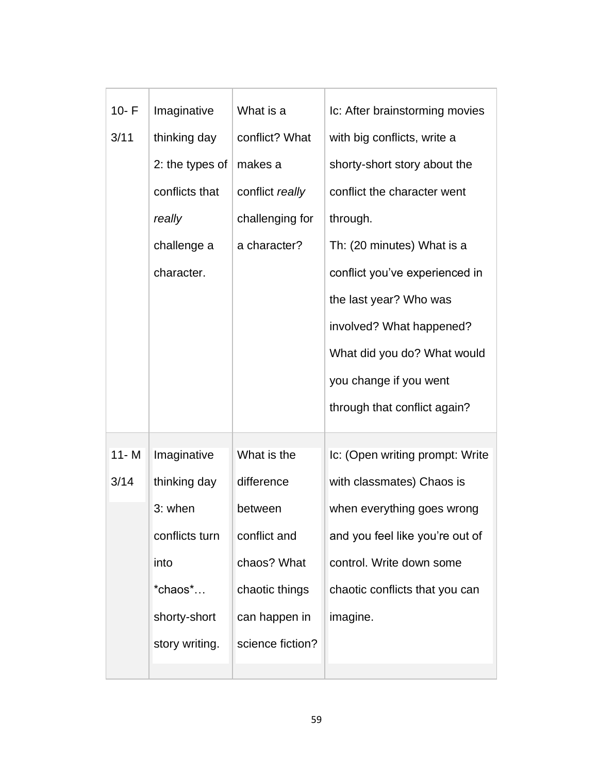| $10-F$   | Imaginative     | What is a        | Ic: After brainstorming movies  |
|----------|-----------------|------------------|---------------------------------|
| 3/11     | thinking day    | conflict? What   | with big conflicts, write a     |
|          | 2: the types of | makes a          | shorty-short story about the    |
|          | conflicts that  | conflict really  | conflict the character went     |
|          | really          | challenging for  | through.                        |
|          | challenge a     | a character?     | Th: (20 minutes) What is a      |
|          | character.      |                  | conflict you've experienced in  |
|          |                 |                  | the last year? Who was          |
|          |                 |                  | involved? What happened?        |
|          |                 |                  | What did you do? What would     |
|          |                 |                  | you change if you went          |
|          |                 |                  | through that conflict again?    |
| $11 - M$ | Imaginative     | What is the      | Ic: (Open writing prompt: Write |
| 3/14     | thinking day    | difference       | with classmates) Chaos is       |
|          | 3: when         | between          | when everything goes wrong      |
|          | conflicts turn  | conflict and     | and you feel like you're out of |
|          | into            | chaos? What      | control. Write down some        |
|          | *chaos*         | chaotic things   | chaotic conflicts that you can  |
|          | shorty-short    | can happen in    | imagine.                        |
|          | story writing.  | science fiction? |                                 |
|          |                 |                  |                                 |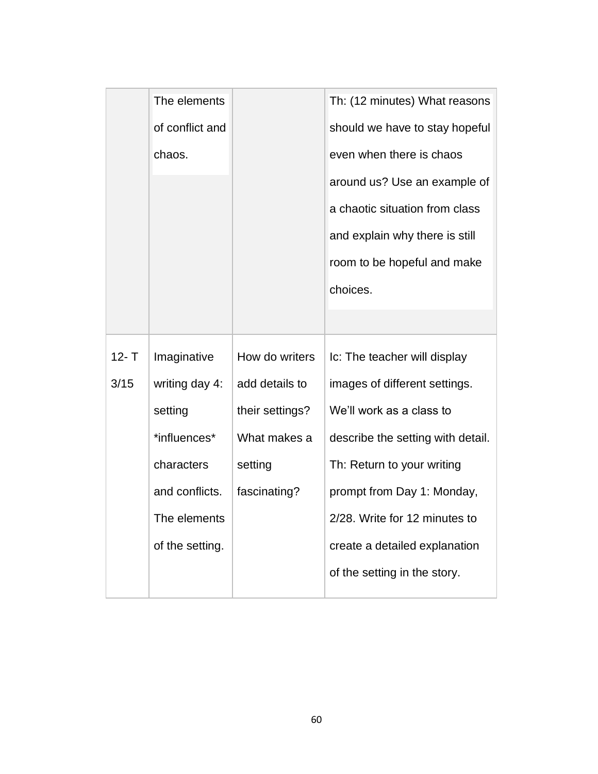|          | The elements    |                 | Th: (12 minutes) What reasons     |
|----------|-----------------|-----------------|-----------------------------------|
|          | of conflict and |                 | should we have to stay hopeful    |
|          | chaos.          |                 | even when there is chaos          |
|          |                 |                 | around us? Use an example of      |
|          |                 |                 | a chaotic situation from class    |
|          |                 |                 | and explain why there is still    |
|          |                 |                 | room to be hopeful and make       |
|          |                 |                 | choices.                          |
|          |                 |                 |                                   |
| $12 - T$ | Imaginative     | How do writers  | Ic: The teacher will display      |
| 3/15     | writing day 4:  | add details to  | images of different settings.     |
|          | setting         | their settings? | We'll work as a class to          |
|          | *influences*    | What makes a    | describe the setting with detail. |
|          | characters      | setting         | Th: Return to your writing        |
|          | and conflicts.  | fascinating?    | prompt from Day 1: Monday,        |
|          | The elements    |                 | 2/28. Write for 12 minutes to     |
|          | of the setting. |                 | create a detailed explanation     |
|          |                 |                 |                                   |
|          |                 |                 | of the setting in the story.      |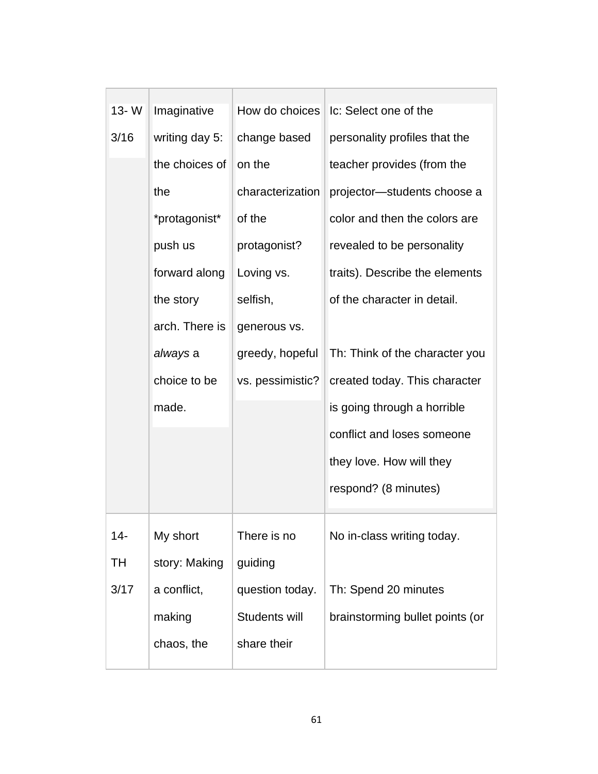| $13 - W$ | Imaginative    | How do choices   | Ic: Select one of the           |
|----------|----------------|------------------|---------------------------------|
|          |                |                  |                                 |
| 3/16     | writing day 5: | change based     | personality profiles that the   |
|          | the choices of | on the           | teacher provides (from the      |
|          | the            | characterization | projector-students choose a     |
|          | *protagonist*  | of the           | color and then the colors are   |
|          | push us        | protagonist?     | revealed to be personality      |
|          | forward along  | Loving vs.       | traits). Describe the elements  |
|          | the story      | selfish,         | of the character in detail.     |
|          | arch. There is | generous vs.     |                                 |
|          | always a       | greedy, hopeful  | Th: Think of the character you  |
|          | choice to be   | vs. pessimistic? | created today. This character   |
|          | made.          |                  | is going through a horrible     |
|          |                |                  | conflict and loses someone      |
|          |                |                  | they love. How will they        |
|          |                |                  | respond? (8 minutes)            |
| $14 -$   | My short       | There is no      | No in-class writing today.      |
| TН       | story: Making  | guiding          |                                 |
|          |                |                  |                                 |
| 3/17     | a conflict,    | question today.  | Th: Spend 20 minutes            |
|          | making         | Students will    | brainstorming bullet points (or |
|          | chaos, the     | share their      |                                 |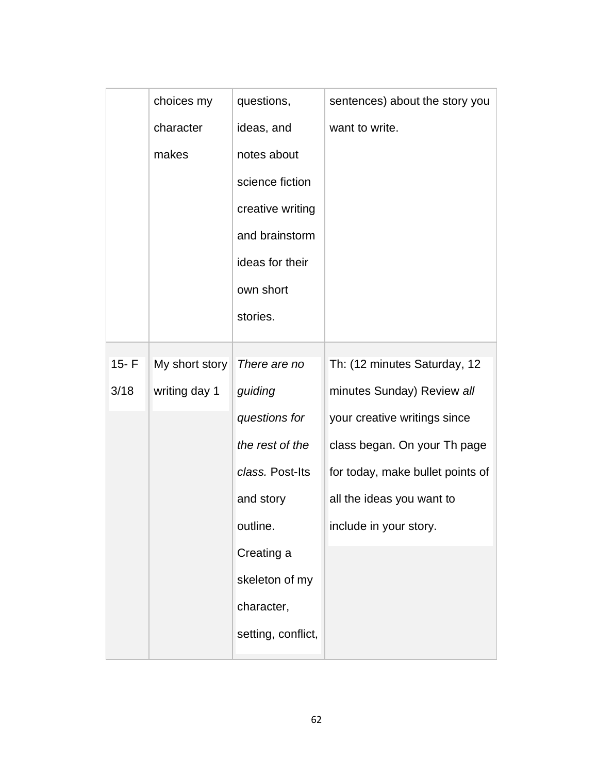|          | choices my     | questions,         | sentences) about the story you   |
|----------|----------------|--------------------|----------------------------------|
|          | character      | ideas, and         | want to write.                   |
|          | makes          | notes about        |                                  |
|          |                | science fiction    |                                  |
|          |                | creative writing   |                                  |
|          |                | and brainstorm     |                                  |
|          |                | ideas for their    |                                  |
|          |                | own short          |                                  |
|          |                | stories.           |                                  |
|          |                |                    |                                  |
| $15 - F$ | My short story | There are no       | Th: (12 minutes Saturday, 12     |
| 3/18     | writing day 1  | guiding            | minutes Sunday) Review all       |
|          |                | questions for      | your creative writings since     |
|          |                | the rest of the    | class began. On your Th page     |
|          |                | class. Post-Its    | for today, make bullet points of |
|          |                | and story          | all the ideas you want to        |
|          |                | outline.           | include in your story.           |
|          |                | Creating a         |                                  |
|          |                | skeleton of my     |                                  |
|          |                | character,         |                                  |
|          |                | setting, conflict, |                                  |
|          |                |                    |                                  |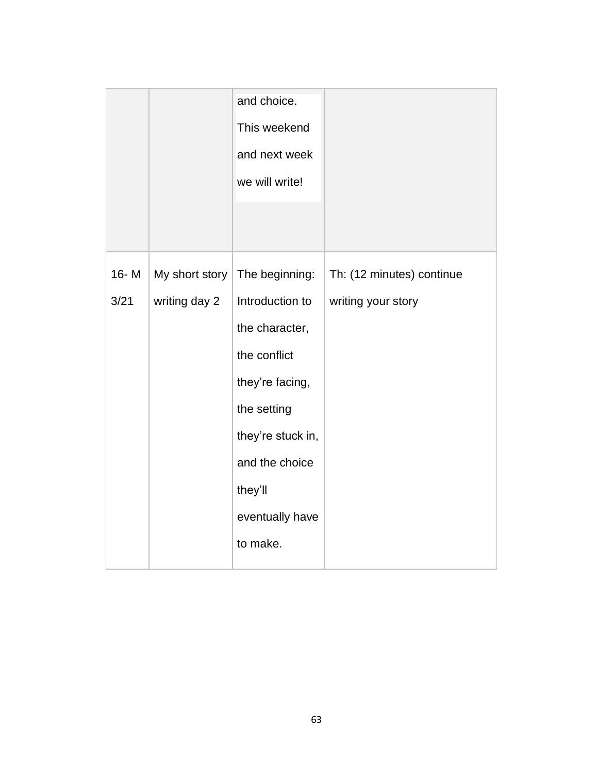|              |                                 | and choice.<br>This weekend<br>and next week<br>we will write!                                                                                                                         |                                                 |
|--------------|---------------------------------|----------------------------------------------------------------------------------------------------------------------------------------------------------------------------------------|-------------------------------------------------|
| 16-M<br>3/21 | My short story<br>writing day 2 | The beginning:<br>Introduction to<br>the character,<br>the conflict<br>they're facing,<br>the setting<br>they're stuck in,<br>and the choice<br>they'll<br>eventually have<br>to make. | Th: (12 minutes) continue<br>writing your story |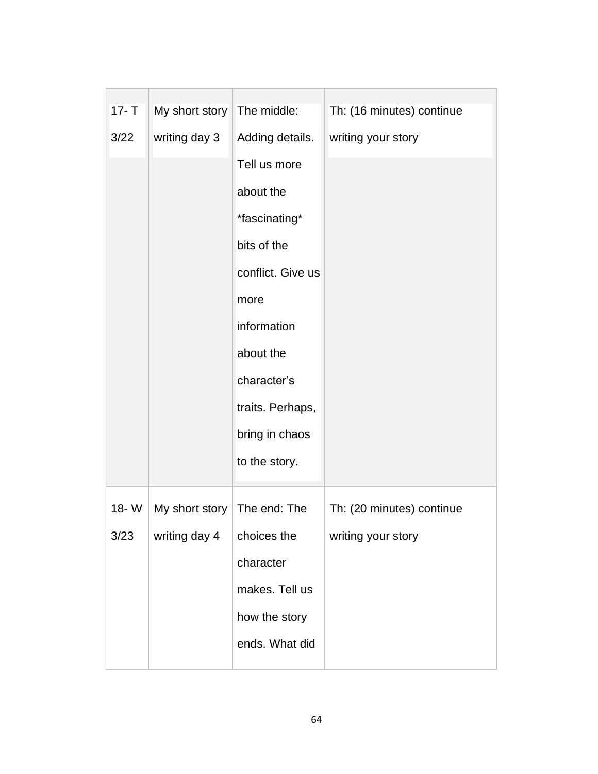| $17 - T$ | My short story   The middle:        |                   | Th: (16 minutes) continue |
|----------|-------------------------------------|-------------------|---------------------------|
| 3/22     | writing day 3                       | Adding details.   | writing your story        |
|          |                                     | Tell us more      |                           |
|          |                                     | about the         |                           |
|          |                                     | *fascinating*     |                           |
|          |                                     | bits of the       |                           |
|          |                                     | conflict. Give us |                           |
|          |                                     | more              |                           |
|          |                                     | information       |                           |
|          |                                     | about the         |                           |
|          |                                     | character's       |                           |
|          |                                     | traits. Perhaps,  |                           |
|          |                                     | bring in chaos    |                           |
|          |                                     | to the story.     |                           |
|          |                                     |                   |                           |
| 18-W     | My short story $\vert$ The end: The |                   | Th: (20 minutes) continue |
| 3/23     | writing day 4                       | choices the       | writing your story        |
|          |                                     | character         |                           |
|          |                                     | makes. Tell us    |                           |
|          |                                     | how the story     |                           |
|          |                                     | ends. What did    |                           |
|          |                                     |                   |                           |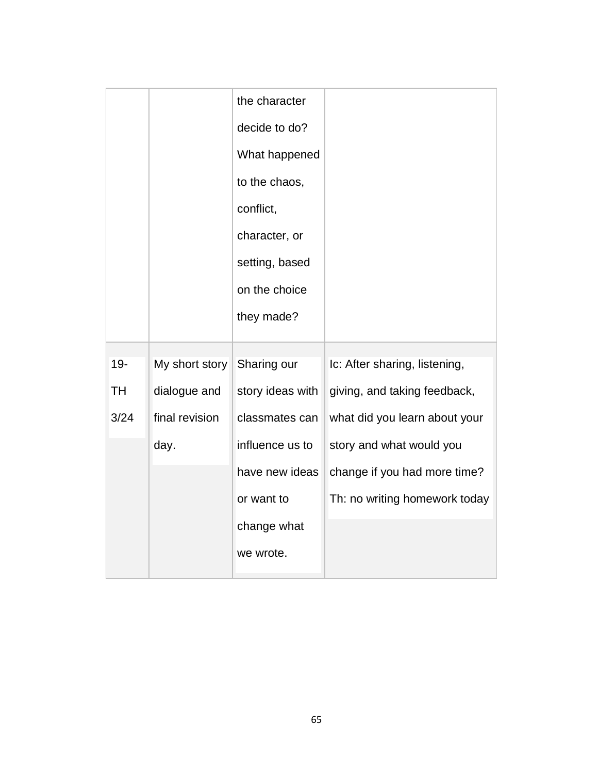|           |                | the character    |                               |
|-----------|----------------|------------------|-------------------------------|
|           |                |                  |                               |
|           |                | decide to do?    |                               |
|           |                | What happened    |                               |
|           |                | to the chaos,    |                               |
|           |                | conflict,        |                               |
|           |                | character, or    |                               |
|           |                | setting, based   |                               |
|           |                | on the choice    |                               |
|           |                | they made?       |                               |
|           |                |                  |                               |
| $19 -$    | My short story | Sharing our      | Ic: After sharing, listening, |
| <b>TH</b> | dialogue and   | story ideas with | giving, and taking feedback,  |
| 3/24      | final revision | classmates can   | what did you learn about your |
|           | day.           | influence us to  | story and what would you      |
|           |                | have new ideas   | change if you had more time?  |
|           |                | or want to       | Th: no writing homework today |
|           |                | change what      |                               |
|           |                | we wrote.        |                               |
|           |                |                  |                               |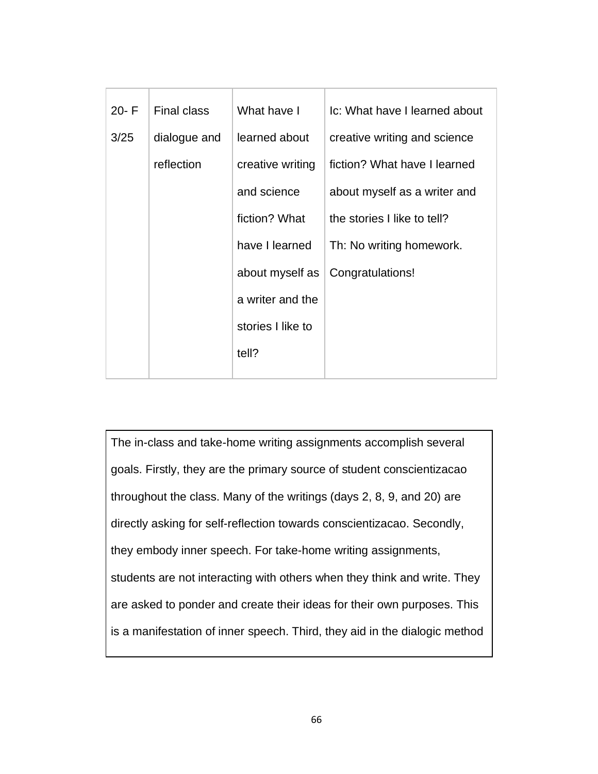| $20 - F$ | <b>Final class</b> | What have I       | Ic: What have I learned about |
|----------|--------------------|-------------------|-------------------------------|
| 3/25     | dialogue and       | learned about     | creative writing and science  |
|          | reflection         | creative writing  | fiction? What have I learned  |
|          |                    | and science       | about myself as a writer and  |
|          |                    | fiction? What     | the stories I like to tell?   |
|          |                    | have I learned    | Th: No writing homework.      |
|          |                    | about myself as   | Congratulations!              |
|          |                    | a writer and the  |                               |
|          |                    | stories I like to |                               |
|          |                    | tell?             |                               |
|          |                    |                   |                               |

The in-class and take-home writing assignments accomplish several goals. Firstly, they are the primary source of student conscientizacao throughout the class. Many of the writings (days 2, 8, 9, and 20) are directly asking for self-reflection towards conscientizacao. Secondly, they embody inner speech. For take-home writing assignments, students are not interacting with others when they think and write. They are asked to ponder and create their ideas for their own purposes. This is a manifestation of inner speech. Third, they aid in the dialogic method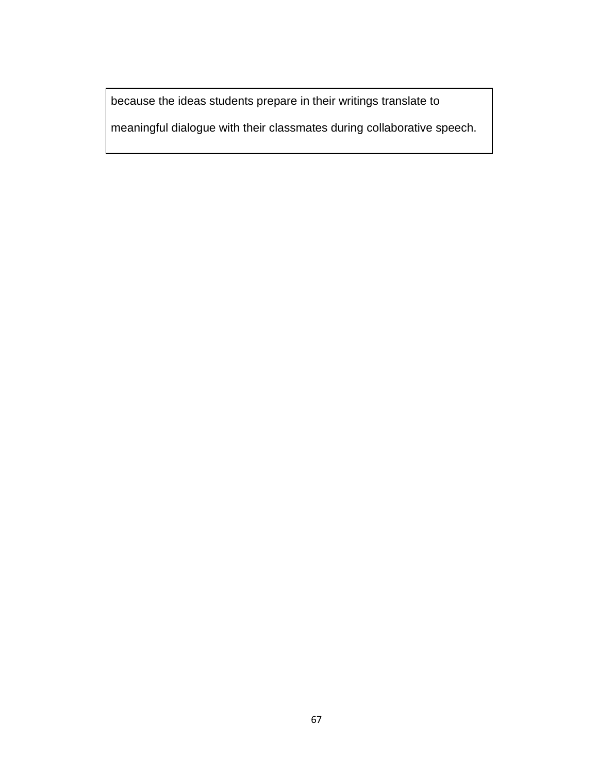because the ideas students prepare in their writings translate to

meaningful dialogue with their classmates during collaborative speech.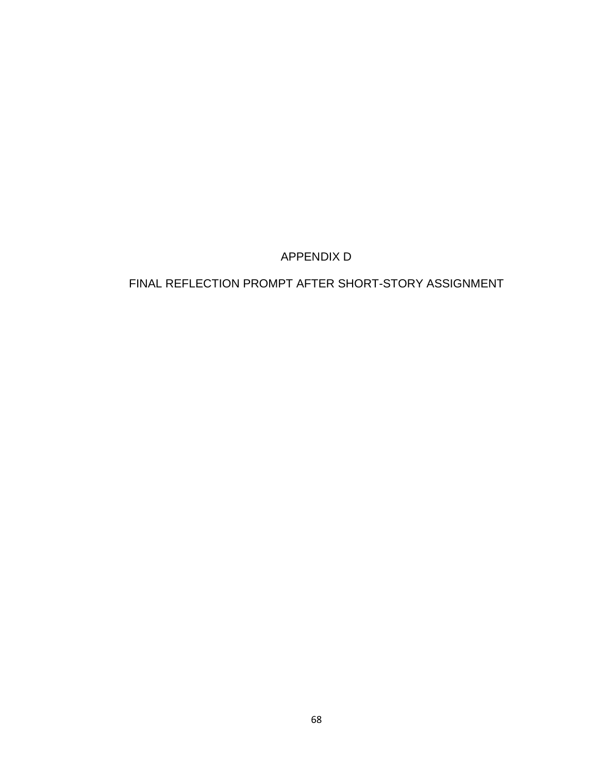APPENDIX D

FINAL REFLECTION PROMPT AFTER SHORT-STORY ASSIGNMENT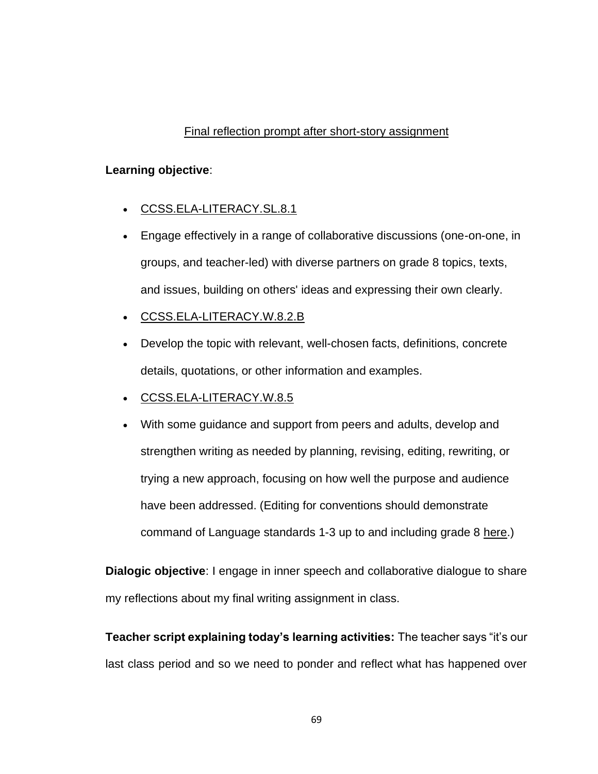# Final reflection prompt after short-story assignment

### **Learning objective**:

- [CCSS.ELA-LITERACY.SL.8.1](http://www.corestandards.org/ELA-Literacy/SL/8/1/)
- Engage effectively in a range of collaborative discussions (one-on-one, in groups, and teacher-led) with diverse partners on grade 8 topics, texts, and issues, building on others' ideas and expressing their own clearly.
- [CCSS.ELA-LITERACY.W.8.2.B](http://www.corestandards.org/ELA-Literacy/W/8/2/b/)
- Develop the topic with relevant, well-chosen facts, definitions, concrete details, quotations, or other information and examples.
- [CCSS.ELA-LITERACY.W.8.5](http://www.corestandards.org/ELA-Literacy/W/8/5/)
- With some guidance and support from peers and adults, develop and strengthen writing as needed by planning, revising, editing, rewriting, or trying a new approach, focusing on how well the purpose and audience have been addressed. (Editing for conventions should demonstrate command of Language standards 1-3 up to and including grade 8 [here.](http://www.corestandards.org/ELA-Literacy/L/8/))

**Dialogic objective**: I engage in inner speech and collaborative dialogue to share my reflections about my final writing assignment in class.

**Teacher script explaining today's learning activities:** The teacher says "it's our last class period and so we need to ponder and reflect what has happened over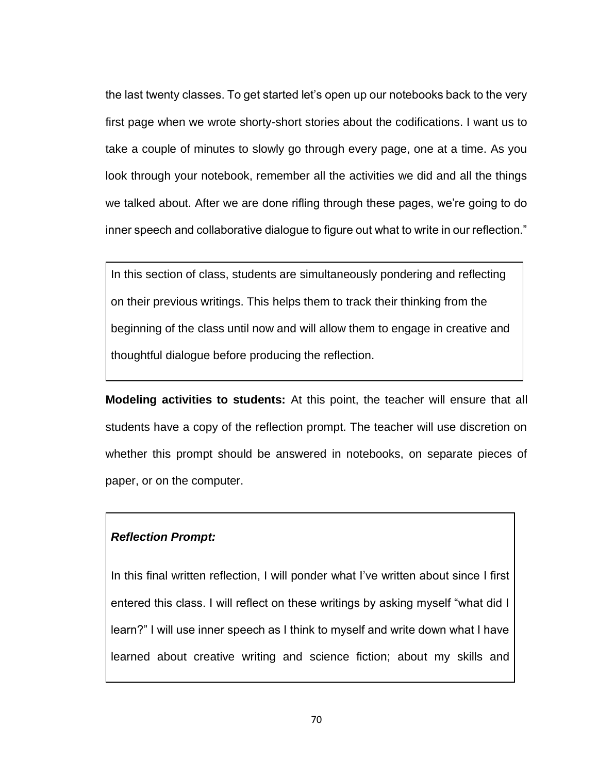the last twenty classes. To get started let's open up our notebooks back to the very first page when we wrote shorty-short stories about the codifications. I want us to take a couple of minutes to slowly go through every page, one at a time. As you look through your notebook, remember all the activities we did and all the things we talked about. After we are done rifling through these pages, we're going to do inner speech and collaborative dialogue to figure out what to write in our reflection."

In this section of class, students are simultaneously pondering and reflecting on their previous writings. This helps them to track their thinking from the beginning of the class until now and will allow them to engage in creative and thoughtful dialogue before producing the reflection.

**Modeling activities to students:** At this point, the teacher will ensure that all students have a copy of the reflection prompt. The teacher will use discretion on whether this prompt should be answered in notebooks, on separate pieces of paper, or on the computer.

# *Reflection Prompt:*

In this final written reflection, I will ponder what I've written about since I first entered this class. I will reflect on these writings by asking myself "what did I learn?" I will use inner speech as I think to myself and write down what I have learned about creative writing and science fiction; about my skills and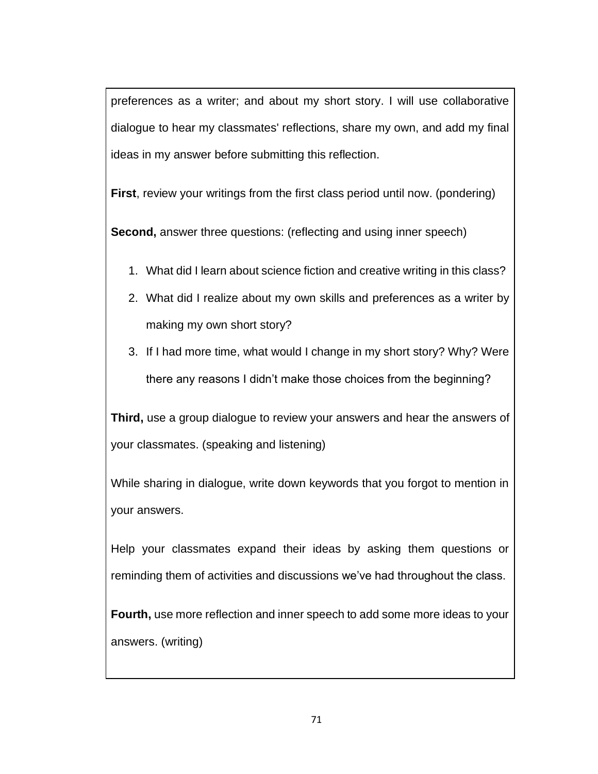preferences as a writer; and about my short story. I will use collaborative dialogue to hear my classmates' reflections, share my own, and add my final ideas in my answer before submitting this reflection.

**First**, review your writings from the first class period until now. (pondering)

**Second, answer three questions: (reflecting and using inner speech)** 

- 1. What did I learn about science fiction and creative writing in this class?
- 2. What did I realize about my own skills and preferences as a writer by making my own short story?
- 3. If I had more time, what would I change in my short story? Why? Were there any reasons I didn't make those choices from the beginning?

**Third,** use a group dialogue to review your answers and hear the answers of your classmates. (speaking and listening)

While sharing in dialogue, write down keywords that you forgot to mention in your answers.

Help your classmates expand their ideas by asking them questions or reminding them of activities and discussions we've had throughout the class.

**Fourth,** use more reflection and inner speech to add some more ideas to your answers. (writing)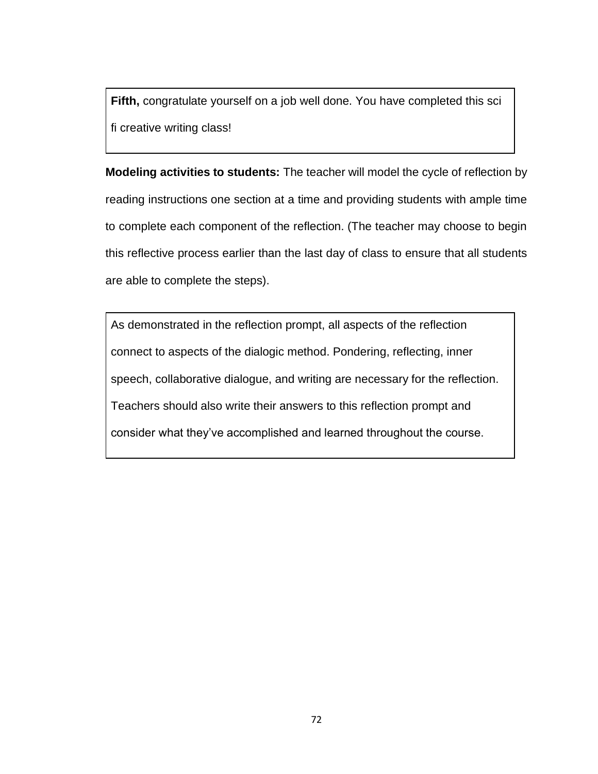**Fifth,** congratulate yourself on a job well done. You have completed this sci fi creative writing class!

**Modeling activities to students:** The teacher will model the cycle of reflection by reading instructions one section at a time and providing students with ample time to complete each component of the reflection. (The teacher may choose to begin this reflective process earlier than the last day of class to ensure that all students are able to complete the steps).

As demonstrated in the reflection prompt, all aspects of the reflection connect to aspects of the dialogic method. Pondering, reflecting, inner speech, collaborative dialogue, and writing are necessary for the reflection. Teachers should also write their answers to this reflection prompt and consider what they've accomplished and learned throughout the course.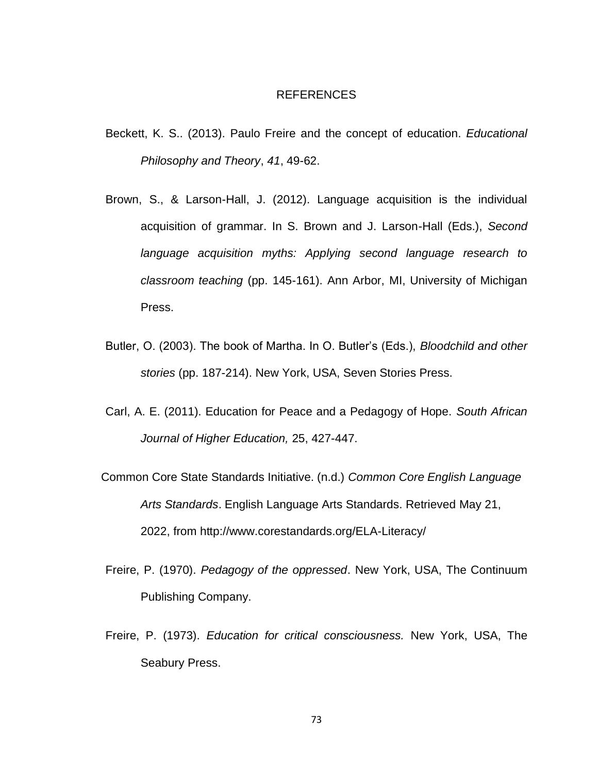#### REFERENCES

- Beckett, K. S.. (2013). Paulo Freire and the concept of education. *Educational Philosophy and Theory*, *41*, 49-62.
- Brown, S., & Larson-Hall, J. (2012). Language acquisition is the individual acquisition of grammar. In S. Brown and J. Larson-Hall (Eds.), *Second language acquisition myths: Applying second language research to classroom teaching* (pp. 145-161). Ann Arbor, MI, University of Michigan Press.
- Butler, O. (2003). The book of Martha. In O. Butler's (Eds.), *Bloodchild and other stories* (pp. 187-214). New York, USA, Seven Stories Press.
- Carl, A. E. (2011). Education for Peace and a Pedagogy of Hope. *South African Journal of Higher Education,* 25, 427-447.
- Common Core State Standards Initiative. (n.d.) *Common Core English Language Arts Standards*. English Language Arts Standards. Retrieved May 21, 2022, from http://www.corestandards.org/ELA-Literacy/
- Freire, P. (1970). *Pedagogy of the oppressed*. New York, USA, The Continuum Publishing Company.
- Freire, P. (1973). *Education for critical consciousness.* New York, USA, The Seabury Press.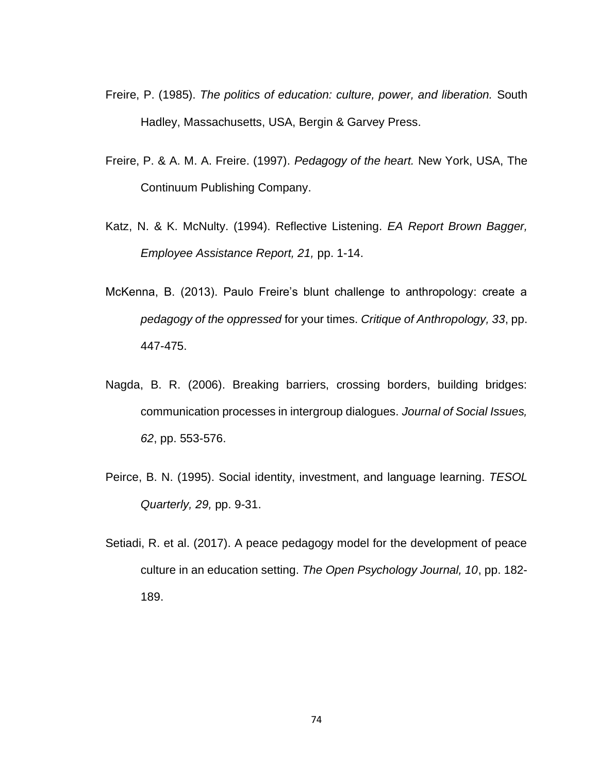- Freire, P. (1985). *The politics of education: culture, power, and liberation.* South Hadley, Massachusetts, USA, Bergin & Garvey Press.
- Freire, P. & A. M. A. Freire. (1997). *Pedagogy of the heart.* New York, USA, The Continuum Publishing Company.
- Katz, N. & K. McNulty. (1994). Reflective Listening. *EA Report Brown Bagger, Employee Assistance Report, 21,* pp. 1-14.
- McKenna, B. (2013). Paulo Freire's blunt challenge to anthropology: create a *pedagogy of the oppressed* for your times. *Critique of Anthropology, 33*, pp. 447-475.
- Nagda, B. R. (2006). Breaking barriers, crossing borders, building bridges: communication processes in intergroup dialogues. *Journal of Social Issues, 62*, pp. 553-576.
- Peirce, B. N. (1995). Social identity, investment, and language learning. *TESOL Quarterly, 29,* pp. 9-31.
- Setiadi, R. et al. (2017). A peace pedagogy model for the development of peace culture in an education setting. *The Open Psychology Journal, 10*, pp. 182- 189.